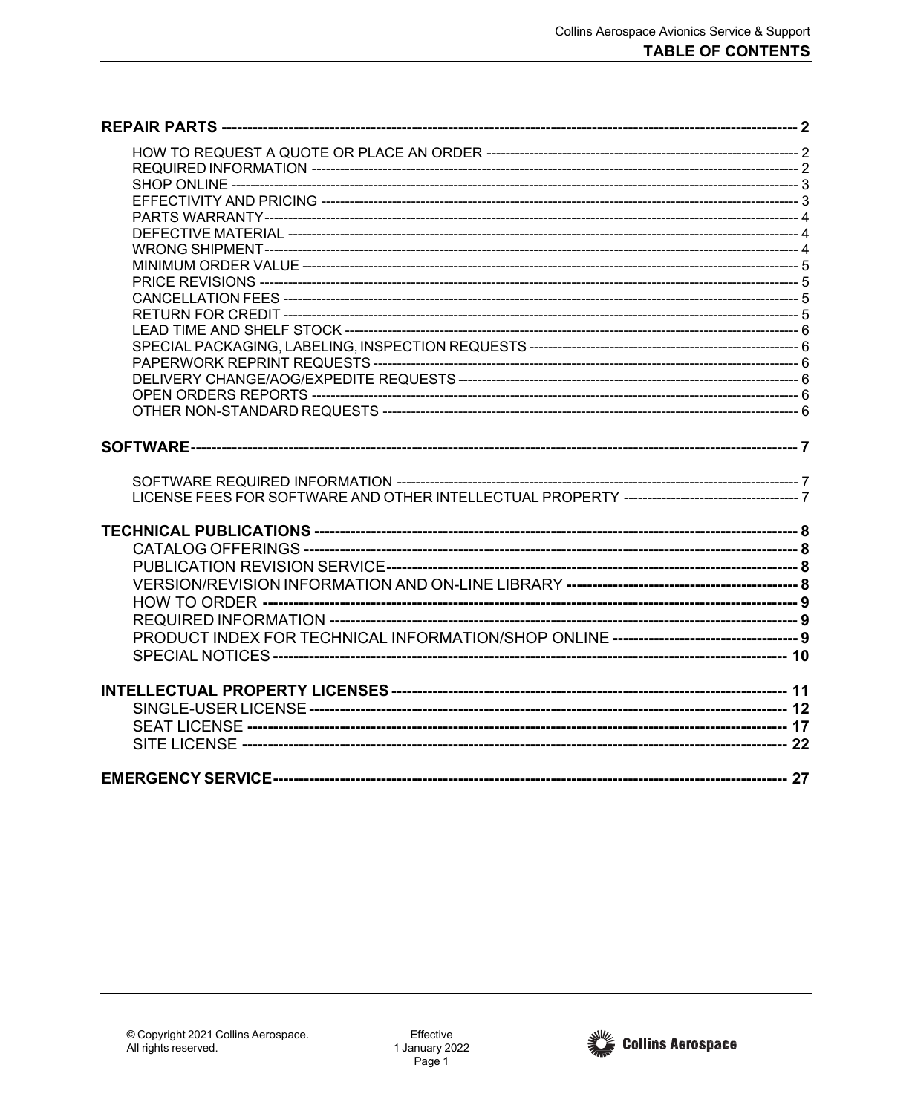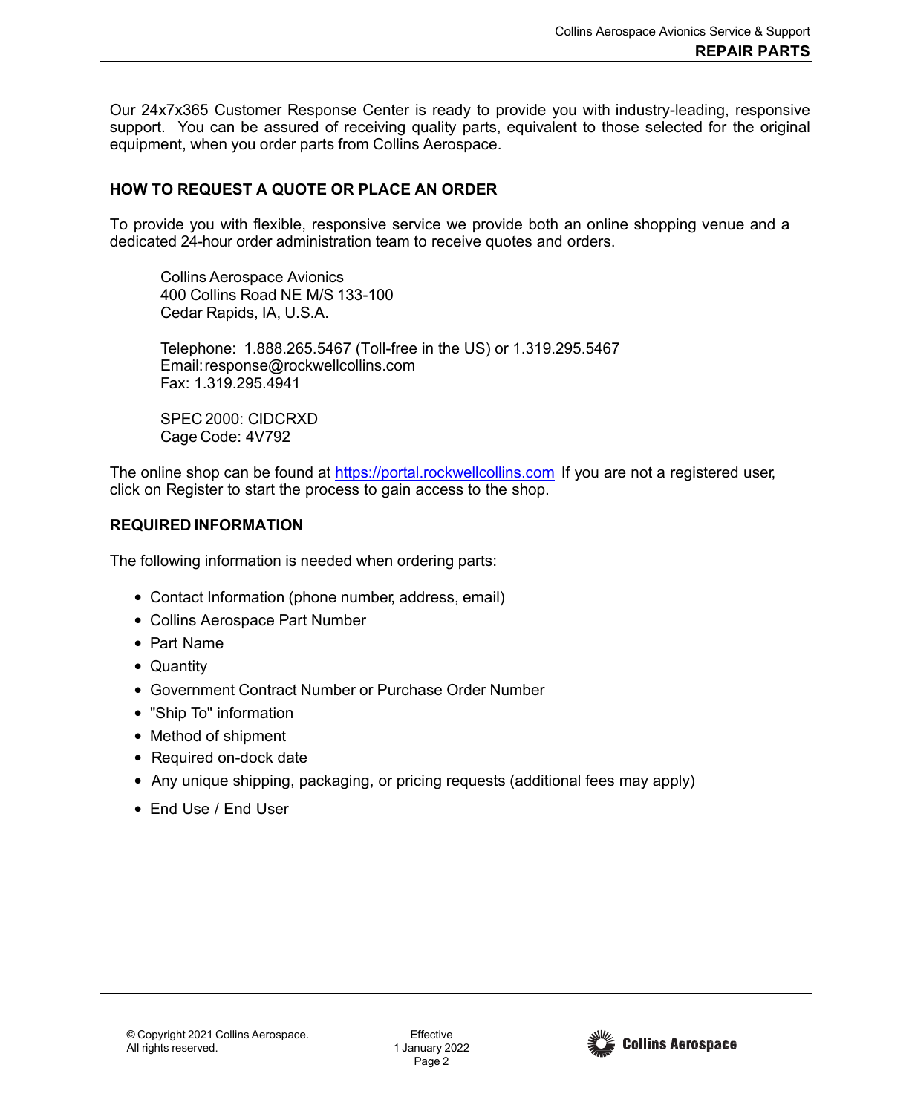Our 24x7x365 Customer Response Center is ready to provide you with industry-leading, responsive support. You can be assured of receiving quality parts, equivalent to those selected for the original equipment, when you order parts from Collins Aerospace.

## <span id="page-1-0"></span>**HOW TO REQUEST A QUOTE OR PLACE AN ORDER**

To provide you with flexible, responsive service we provide both an online shopping venue and a dedicated 24-hour order administration team to receive quotes and orders.

Collins Aerospace Avionics 400 Collins Road NE M/S 133-100 Cedar Rapids, IA, U.S.A.

Telephone: 1.888.265.5467 (Toll-free in the US) or 1.319.295.5467 Email[:response@rockwellcollins.com](mailto:response@rockwellcollins.com) Fax: 1.319.295.4941

SPEC 2000: CIDCRXD Cage Code: 4V792

The online shop can be found at [https://portal.rockwellcollins.com](https://portal.rockwellcollins.com/) If you are not a registered user, click on Register to start the process to gain access to the shop.

## <span id="page-1-1"></span>**REQUIRED INFORMATION**

The following information is needed when ordering parts:

- Contact Information (phone number, address, email)
- Collins Aerospace Part Number
- Part Name
- Quantity
- Government Contract Number or Purchase Order Number
- "Ship To" information
- Method of shipment
- Required on-dock date
- Any unique shipping, packaging, or pricing requests (additional fees may apply)
- End Use / End User

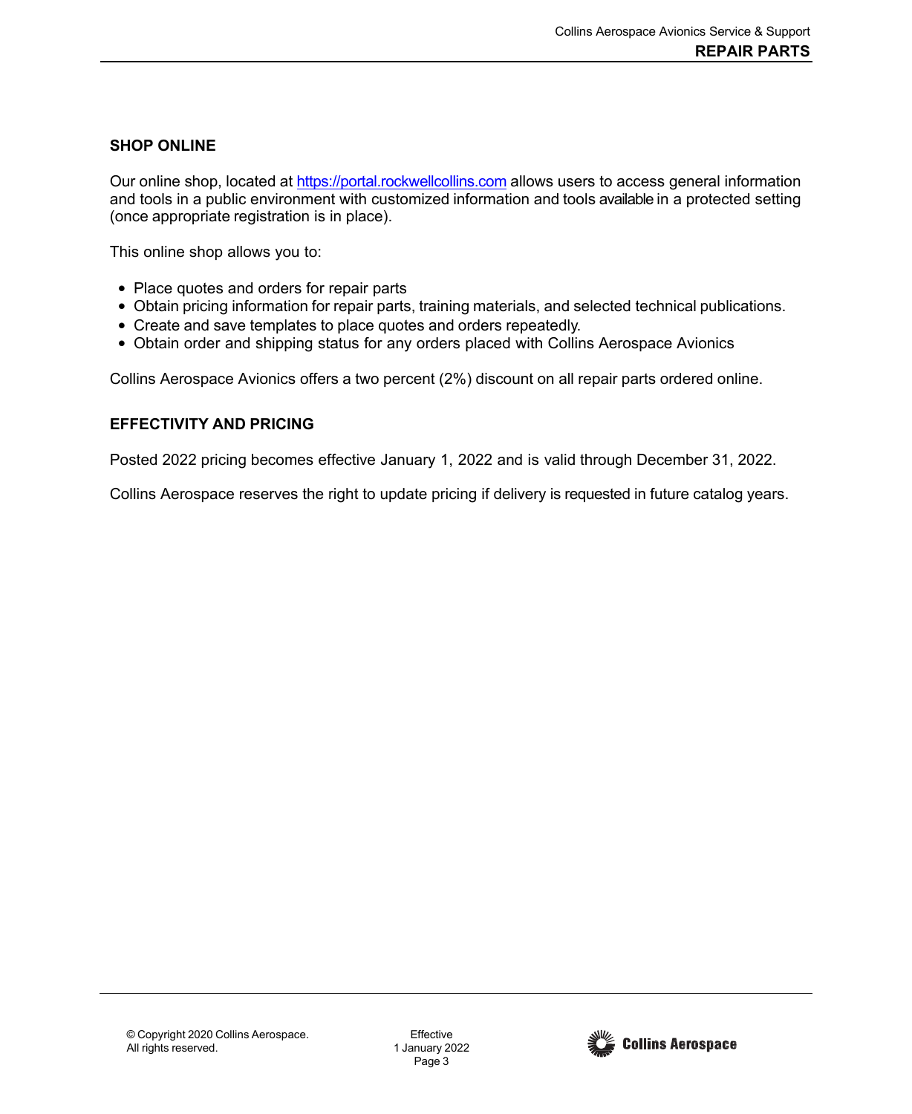## <span id="page-2-0"></span>**SHOP ONLINE**

Our online shop, located at [https://portal.rockwellcollins.com](https://portal.rockwellcollins.com/) allows users to access general information and tools in a public environment with customized information and tools available in a protected setting (once appropriate registration is in place).

This online shop allows you to:

- Place quotes and orders for repair parts
- Obtain pricing information for repair parts, training materials, and selected technical publications.
- Create and save templates to place quotes and orders repeatedly.
- Obtain order and shipping status for any orders placed with Collins Aerospace Avionics

Collins Aerospace Avionics offers a two percent (2%) discount on all repair parts ordered online.

## <span id="page-2-1"></span>**EFFECTIVITY AND PRICING**

Posted 2022 pricing becomes effective January 1, 2022 and is valid through December 31, 2022.

Collins Aerospace reserves the right to update pricing if delivery is requested in future catalog years.

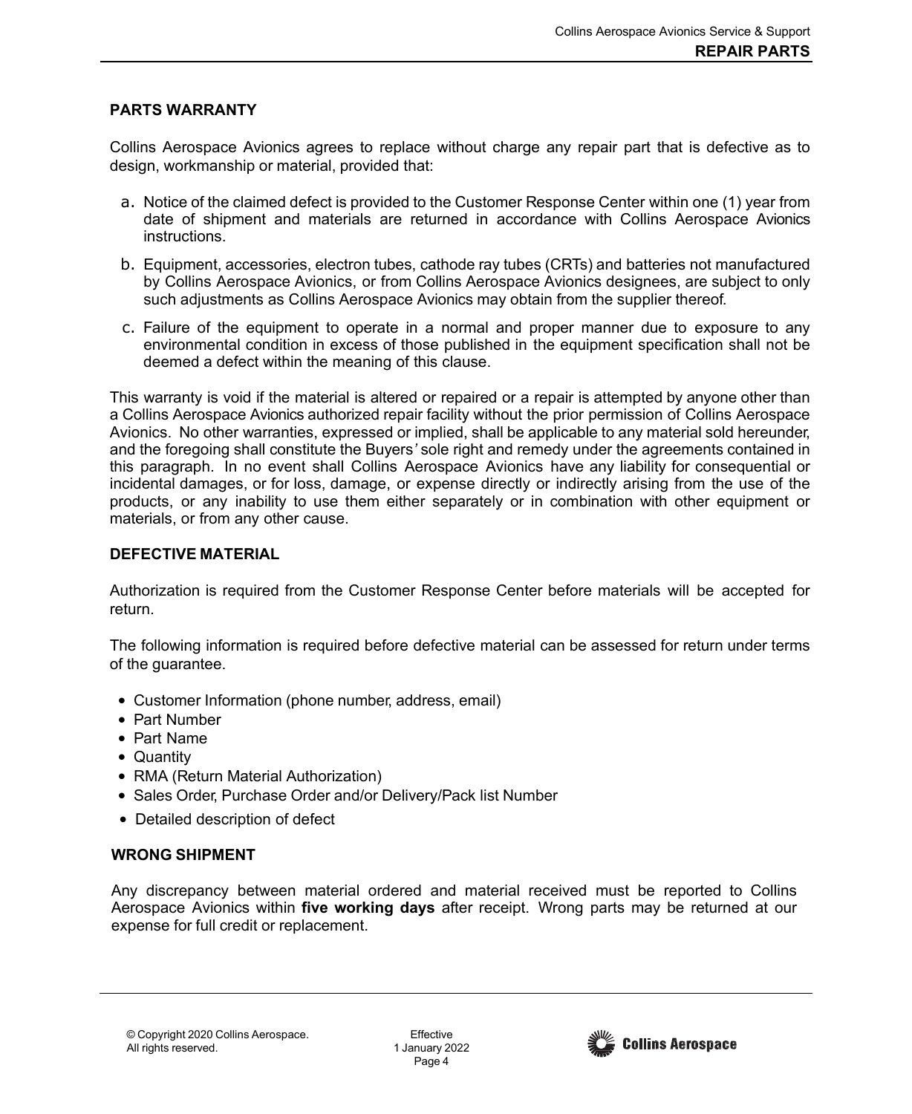### <span id="page-3-0"></span>**PARTS WARRANTY**

Collins Aerospace Avionics agrees to replace without charge any repair part that is defective as to design, workmanship or material, provided that:

- a. Notice of the claimed defect is provided to the Customer Response Center within one (1) year from date of shipment and materials are returned in accordance with Collins Aerospace Avionics instructions.
- b. Equipment, accessories, electron tubes, cathode ray tubes (CRTs) and batteries not manufactured by Collins Aerospace Avionics, or from Collins Aerospace Avionics designees, are subject to only such adjustments as Collins Aerospace Avionics may obtain from the supplier thereof.
- c. Failure of the equipment to operate in a normal and proper manner due to exposure to any environmental condition in excess of those published in the equipment specification shall not be deemed a defect within the meaning of this clause.

This warranty is void if the material is altered or repaired or a repair is attempted by anyone other than a Collins Aerospace Avionics authorized repair facility without the prior permission of Collins Aerospace Avionics. No other warranties, expressed or implied, shall be applicable to any material sold hereunder, and the foregoing shall constitute the Buyers*'* sole right and remedy under the agreements contained in this paragraph. In no event shall Collins Aerospace Avionics have any liability for consequential or incidental damages, or for loss, damage, or expense directly or indirectly arising from the use of the products, or any inability to use them either separately or in combination with other equipment or materials, or from any other cause.

#### <span id="page-3-1"></span>**DEFECTIVE MATERIAL**

Authorization is required from the Customer Response Center before materials will be accepted for return.

The following information is required before defective material can be assessed for return under terms of the guarantee.

- Customer Information (phone number, address, email)
- Part Number
- Part Name
- Quantity
- RMA (Return Material Authorization)
- Sales Order, Purchase Order and/or Delivery/Pack list Number
- Detailed description of defect

### <span id="page-3-2"></span>**WRONG SHIPMENT**

Any discrepancy between material ordered and material received must be reported to Collins Aerospace Avionics within **five working days** after receipt. Wrong parts may be returned at our expense for full credit or replacement.

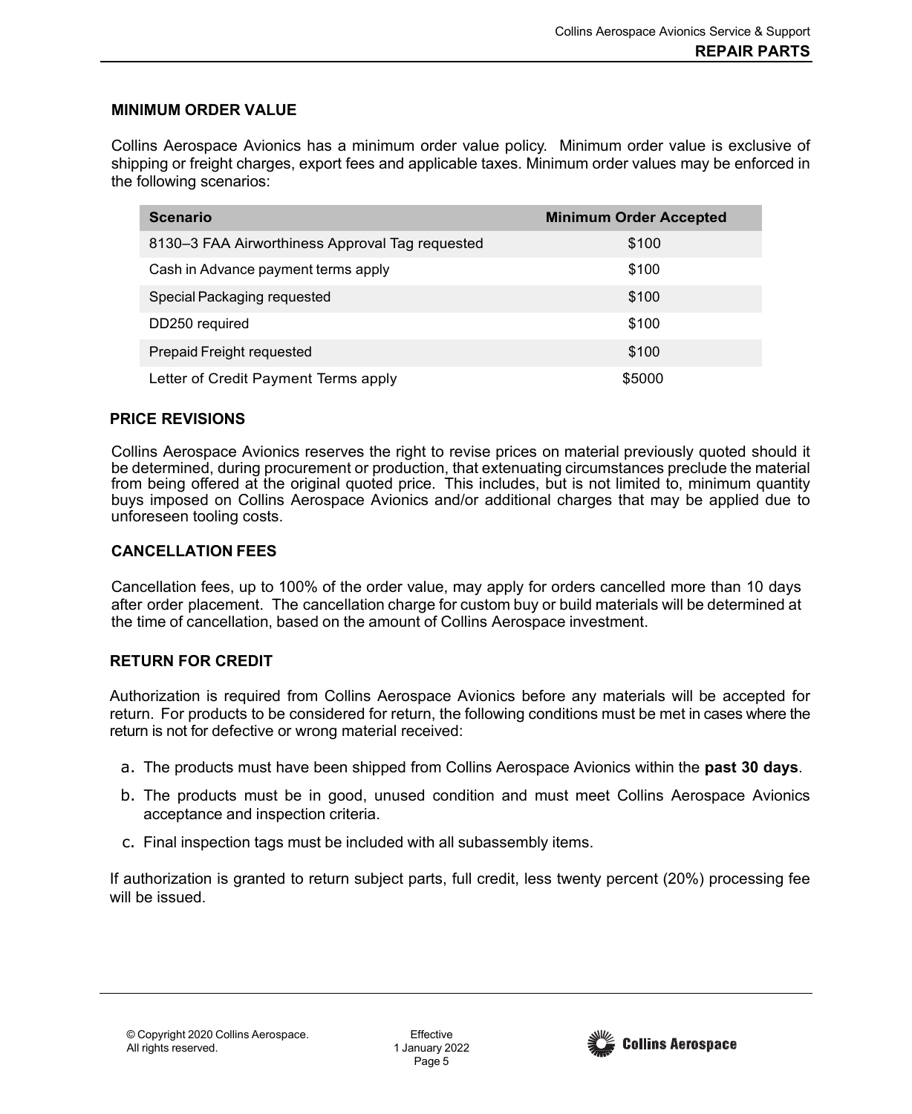### <span id="page-4-0"></span>**MINIMUM ORDER VALUE**

Collins Aerospace Avionics has a minimum order value policy. Minimum order value is exclusive of shipping or freight charges, export fees and applicable taxes. Minimum order values may be enforced in the following scenarios:

| <b>Scenario</b>                                 | <b>Minimum Order Accepted</b> |
|-------------------------------------------------|-------------------------------|
| 8130–3 FAA Airworthiness Approval Tag requested | \$100                         |
| Cash in Advance payment terms apply             | \$100                         |
| Special Packaging requested                     | \$100                         |
| DD250 required                                  | \$100                         |
| Prepaid Freight requested                       | \$100                         |
| Letter of Credit Payment Terms apply            | \$5000                        |

#### <span id="page-4-1"></span>**PRICE REVISIONS**

Collins Aerospace Avionics reserves the right to revise prices on material previously quoted should it be determined, during procurement or production, that extenuating circumstances preclude the material from being offered at the original quoted price. This includes, but is not limited to, minimum quantity buys imposed on Collins Aerospace Avionics and/or additional charges that may be applied due to unforeseen tooling costs.

### <span id="page-4-2"></span>**CANCELLATION FEES**

Cancellation fees, up to 100% of the order value, may apply for orders cancelled more than 10 days after order placement. The cancellation charge for custom buy or build materials will be determined at the time of cancellation, based on the amount of Collins Aerospace investment.

### <span id="page-4-3"></span>**RETURN FOR CREDIT**

Authorization is required from Collins Aerospace Avionics before any materials will be accepted for return. For products to be considered for return, the following conditions must be met in cases where the return is not for defective or wrong material received:

- a. The products must have been shipped from Collins Aerospace Avionics within the **past 30 days**.
- b. The products must be in good, unused condition and must meet Collins Aerospace Avionics acceptance and inspection criteria.
- c. Final inspection tags must be included with all subassembly items.

If authorization is granted to return subject parts, full credit, less twenty percent (20%) processing fee will be issued.

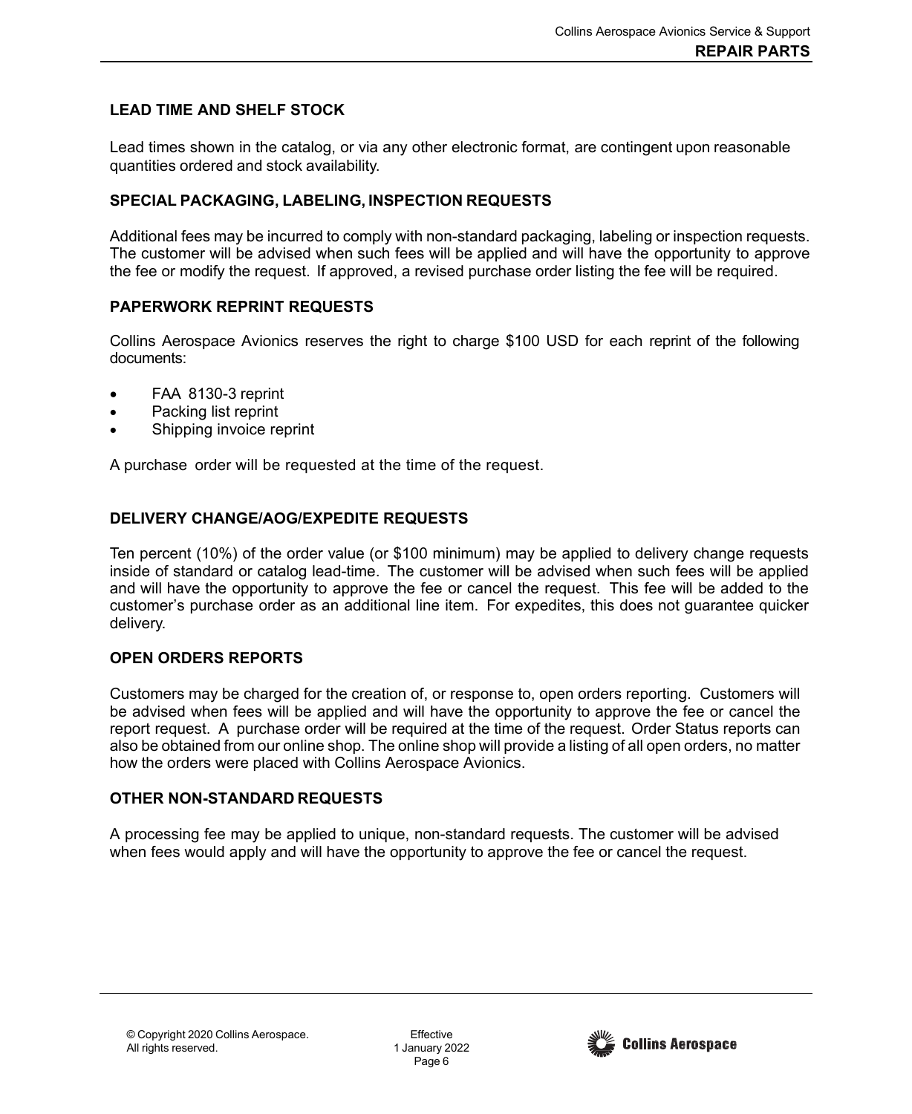## <span id="page-5-0"></span>**LEAD TIME AND SHELF STOCK**

Lead times shown in the catalog, or via any other electronic format, are contingent upon reasonable quantities ordered and stock availability.

## <span id="page-5-1"></span>**SPECIAL PACKAGING, LABELING, INSPECTION REQUESTS**

Additional fees may be incurred to comply with non-standard packaging, labeling or inspection requests. The customer will be advised when such fees will be applied and will have the opportunity to approve the fee or modify the request. If approved, a revised purchase order listing the fee will be required.

## <span id="page-5-2"></span>**PAPERWORK REPRINT REQUESTS**

Collins Aerospace Avionics reserves the right to charge \$100 USD for each reprint of the following documents:

- FAA 8130-3 reprint
- Packing list reprint
- Shipping invoice reprint

A purchase order will be requested at the time of the request.

# <span id="page-5-3"></span>**DELIVERY CHANGE/AOG/EXPEDITE REQUESTS**

Ten percent (10%) of the order value (or \$100 minimum) may be applied to delivery change requests inside of standard or catalog lead-time. The customer will be advised when such fees will be applied and will have the opportunity to approve the fee or cancel the request. This fee will be added to the customer's purchase order as an additional line item. For expedites, this does not guarantee quicker delivery.

## <span id="page-5-4"></span>**OPEN ORDERS REPORTS**

Customers may be charged for the creation of, or response to, open orders reporting. Customers will be advised when fees will be applied and will have the opportunity to approve the fee or cancel the report request. A purchase order will be required at the time of the request. Order Status reports can also be obtained from our online shop. The online shop will provide a listing of all open orders, no matter how the orders were placed with Collins Aerospace Avionics.

## <span id="page-5-5"></span>**OTHER NON-STANDARD REQUESTS**

A processing fee may be applied to unique, non-standard requests. The customer will be advised when fees would apply and will have the opportunity to approve the fee or cancel the request.

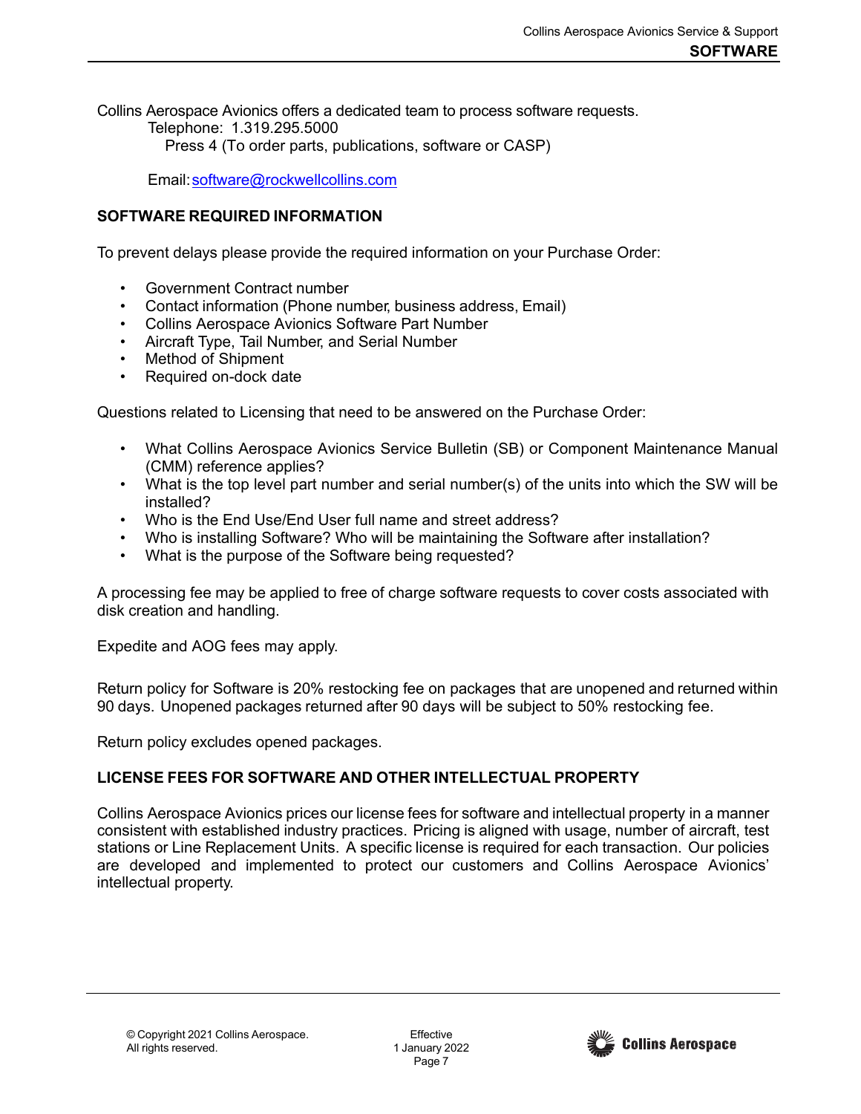Collins Aerospace Avionics offers a dedicated team to process software requests. Telephone: 1.319.295.5000 Press 4 (To order parts, publications, software or CASP)

Email[:software@rockwellcollins.com](mailto:software@rockwellcollins.com)

### <span id="page-6-0"></span>**SOFTWARE REQUIRED INFORMATION**

To prevent delays please provide the required information on your Purchase Order:

- Government Contract number
- Contact information (Phone number, business address, Email)
- Collins Aerospace Avionics Software Part Number
- Aircraft Type, Tail Number, and Serial Number
- Method of Shipment
- Required on-dock date

Questions related to Licensing that need to be answered on the Purchase Order:

- What Collins Aerospace Avionics Service Bulletin (SB) or Component Maintenance Manual (CMM) reference applies?
- What is the top level part number and serial number(s) of the units into which the SW will be installed?
- Who is the End Use/End User full name and street address?
- Who is installing Software? Who will be maintaining the Software after installation?
- What is the purpose of the Software being requested?

A processing fee may be applied to free of charge software requests to cover costs associated with disk creation and handling.

Expedite and AOG fees may apply.

Return policy for Software is 20% restocking fee on packages that are unopened and returned within 90 days. Unopened packages returned after 90 days will be subject to 50% restocking fee.

Return policy excludes opened packages.

### <span id="page-6-1"></span>**LICENSE FEES FOR SOFTWARE AND OTHER INTELLECTUAL PROPERTY**

Collins Aerospace Avionics prices our license fees for software and intellectual property in a manner consistent with established industry practices. Pricing is aligned with usage, number of aircraft, test stations or Line Replacement Units. A specific license is required for each transaction. Our policies are developed and implemented to protect our customers and Collins Aerospace Avionics' intellectual property.

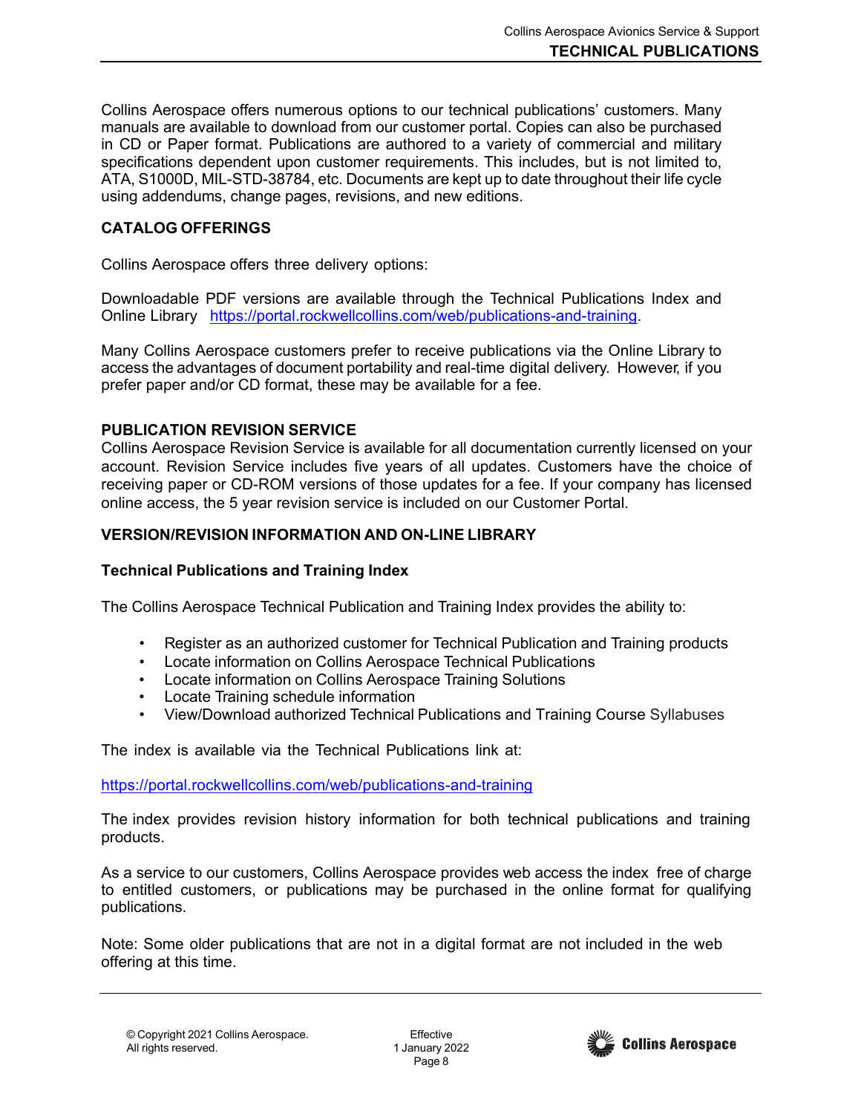Collins Aerospace offers numerous options to our technical publications' customers. Many manuals are available to download from our customer portal. Copies can also be purchased in CD or Paper format. Publications are authored to a variety of commercial and military specifications dependent upon customer requirements. This includes, but is not limited to, ATA, S1000D, MIL-STD-38784, etc. Documents are kept up to date throughout their life cycle using addendums, change pages, revisions, and new editions.

### <span id="page-7-0"></span>**CATALOG OFFERINGS**

Collins Aerospace offers three delivery options:

Downloadable PDF versions are available through the Technical Publications Index and Online Library [https://portal.rockwellcollins.com/web/publications-and-training.](https://portal.rockwellcollins.com/web/publications-and-training)

Many Collins Aerospace customers prefer to receive publications via the Online Library to access the advantages of document portability and real-time digital delivery. However, if you prefer paper and/or CD format, these may be available for a fee.

#### <span id="page-7-1"></span>**PUBLICATION REVISION SERVICE**

Collins Aerospace Revision Service is available for all documentation currently licensed on your account. Revision Service includes five years of all updates. Customers have the choice of receiving paper or CD-ROM versions of those updates for a fee. If your company has licensed online access, the 5 year revision service is included on our Customer Portal.

#### <span id="page-7-2"></span>**VERSION/REVISION INFORMATION AND ON-LINE LIBRARY**

#### **Technical Publications and Training Index**

The Collins Aerospace Technical Publication and Training Index provides the ability to:

- Register as an authorized customer for Technical Publication and Training products
- Locate information on Collins Aerospace Technical Publications
- Locate information on Collins Aerospace Training Solutions
- Locate Training schedule information
- View/Download authorized Technical Publications and Training Course Syllabuses

The index is available via the Technical Publications link at:

<https://portal.rockwellcollins.com/web/publications-and-training>

The index provides revision history information for both technical publications and training products.

As a service to our customers, Collins Aerospace provides web access the index free of charge to entitled customers, or publications may be purchased in the online format for qualifying publications.

Note: Some older publications that are not in a digital format are not included in the web offering at this time.

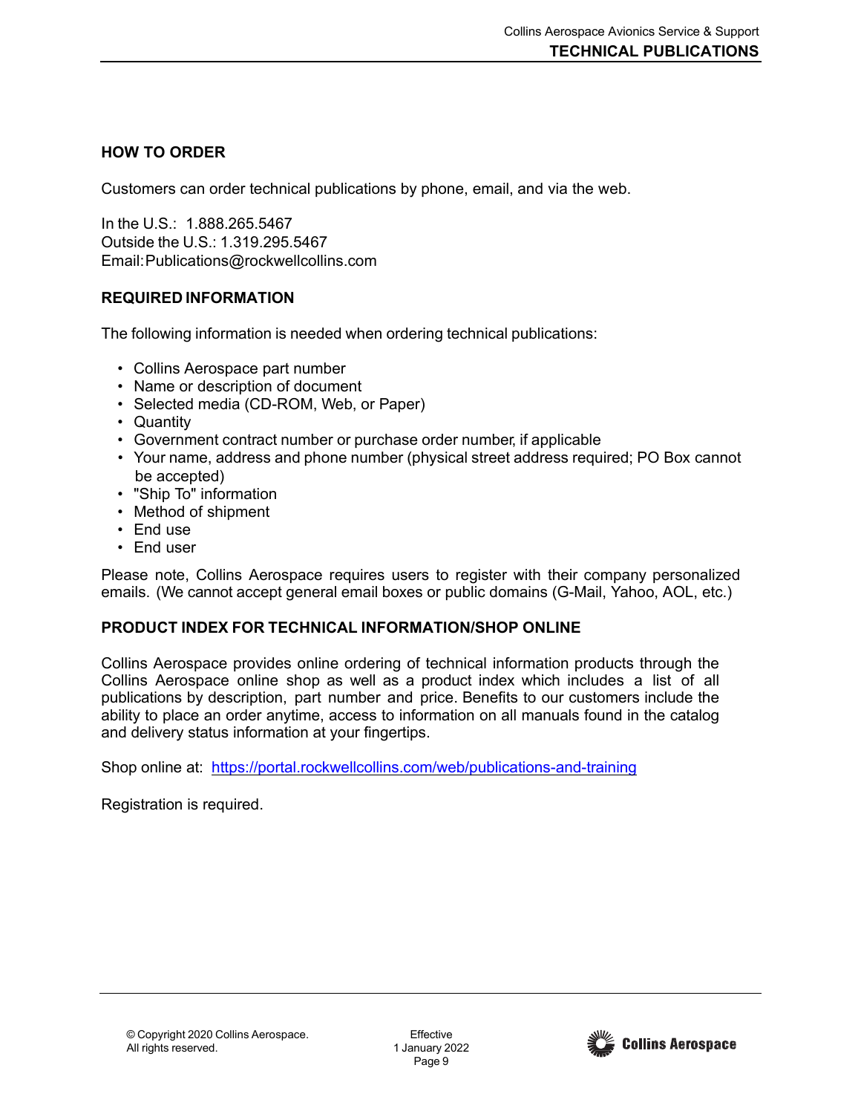## <span id="page-8-0"></span>**HOW TO ORDER**

Customers can order technical publications by phone, email, and via the web.

In the U.S.: 1.888.265.5467 Outside the U.S.: 1.319.295.5467 Email[:Publications@rockwellcollins.com](mailto:Publications@rockwellcollins.com)

## <span id="page-8-1"></span>**REQUIRED INFORMATION**

The following information is needed when ordering technical publications:

- Collins Aerospace part number
- Name or description of document
- Selected media (CD-ROM, Web, or Paper)
- Quantity
- Government contract number or purchase order number, if applicable
- Your name, address and phone number (physical street address required; PO Box cannot be accepted)
- "Ship To" information
- Method of shipment
- End use
- End user

Please note, Collins Aerospace requires users to register with their company personalized emails. (We cannot accept general email boxes or public domains (G-Mail, Yahoo, AOL, etc.)

## <span id="page-8-2"></span>**PRODUCT INDEX FOR TECHNICAL INFORMATION/SHOP ONLINE**

Collins Aerospace provides online ordering of technical information products through the Collins Aerospace online shop as well as a product index which includes a list of all publications by description, part number and price. Benefits to our customers include the ability to place an order anytime, access to information on all manuals found in the catalog and delivery status information at your fingertips.

Shop online at: <https://portal.rockwellcollins.com/web/publications-and-training>

Registration is required.

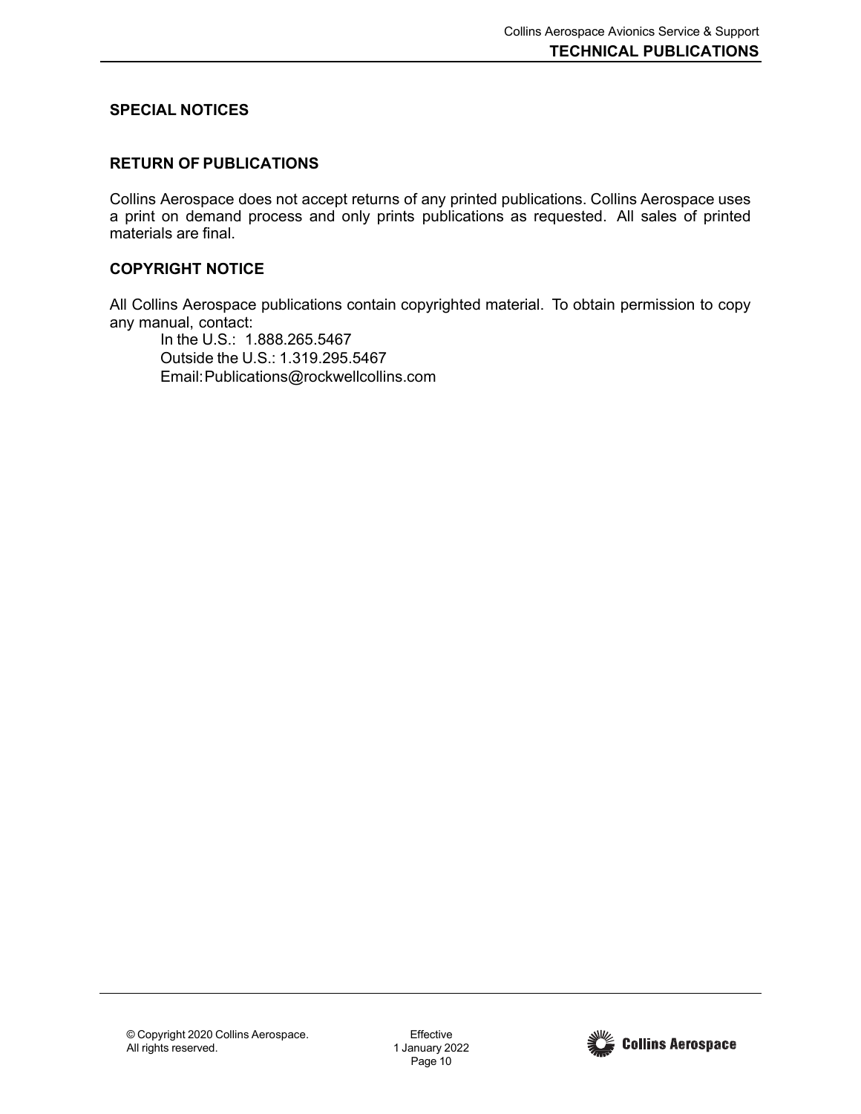### <span id="page-9-0"></span>**SPECIAL NOTICES**

### **RETURN OF PUBLICATIONS**

Collins Aerospace does not accept returns of any printed publications. Collins Aerospace uses a print on demand process and only prints publications as requested. All sales of printed materials are final.

### **COPYRIGHT NOTICE**

All Collins Aerospace publications contain copyrighted material. To obtain permission to copy any manual, contact:

In the U.S.: 1.888.265.5467 Outside the U.S.: 1.319.295.5467 Email[:Publications@rockwellcollins.com](mailto:Publications@rockwellcollins.com)

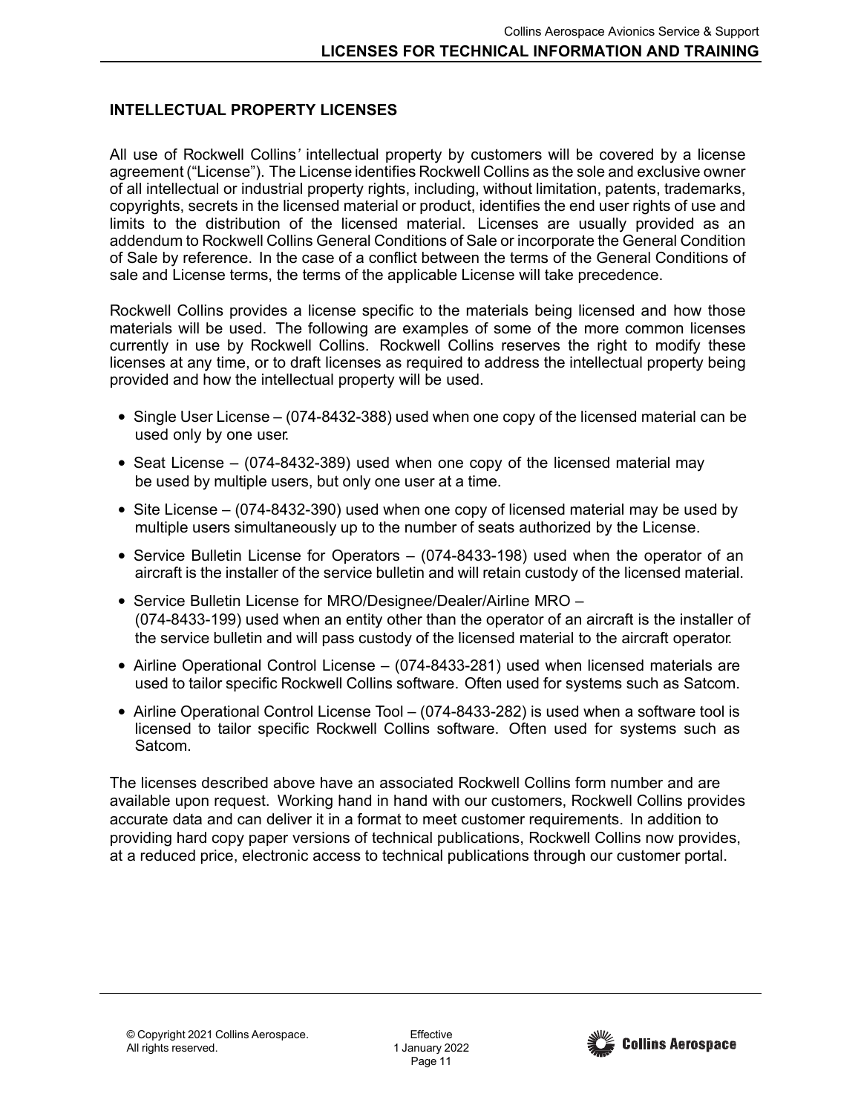### <span id="page-10-0"></span>**INTELLECTUAL PROPERTY LICENSES**

All use of Rockwell Collins*'* intellectual property by customers will be covered by a license agreement ("License"). The License identifies Rockwell Collins as the sole and exclusive owner of all intellectual or industrial property rights, including, without limitation, patents, trademarks, copyrights, secrets in the licensed material or product, identifies the end user rights of use and limits to the distribution of the licensed material. Licenses are usually provided as an addendum to Rockwell Collins General Conditions of Sale or incorporate the General Condition of Sale by reference. In the case of a conflict between the terms of the General Conditions of sale and License terms, the terms of the applicable License will take precedence.

Rockwell Collins provides a license specific to the materials being licensed and how those materials will be used. The following are examples of some of the more common licenses currently in use by Rockwell Collins. Rockwell Collins reserves the right to modify these licenses at any time, or to draft licenses as required to address the intellectual property being provided and how the intellectual property will be used.

- Single User License (074-8432-388) used when one copy of the licensed material can be used only by one user.
- Seat License (074-8432-389) used when one copy of the licensed material may be used by multiple users, but only one user at a time.
- Site License (074-8432-390) used when one copy of licensed material may be used by multiple users simultaneously up to the number of seats authorized by the License.
- Service Bulletin License for Operators (074-8433-198) used when the operator of an aircraft is the installer of the service bulletin and will retain custody of the licensed material.
- Service Bulletin License for MRO/Designee/Dealer/Airline MRO (074-8433-199) used when an entity other than the operator of an aircraft is the installer of the service bulletin and will pass custody of the licensed material to the aircraft operator.
- Airline Operational Control License (074-8433-281) used when licensed materials are used to tailor specific Rockwell Collins software. Often used for systems such as Satcom.
- Airline Operational Control License Tool (074-8433-282) is used when a software tool is licensed to tailor specific Rockwell Collins software. Often used for systems such as Satcom.

The licenses described above have an associated Rockwell Collins form number and are available upon request. Working hand in hand with our customers, Rockwell Collins provides accurate data and can deliver it in a format to meet customer requirements. In addition to providing hard copy paper versions of technical publications, Rockwell Collins now provides, at a reduced price, electronic access to technical publications through our customer portal.

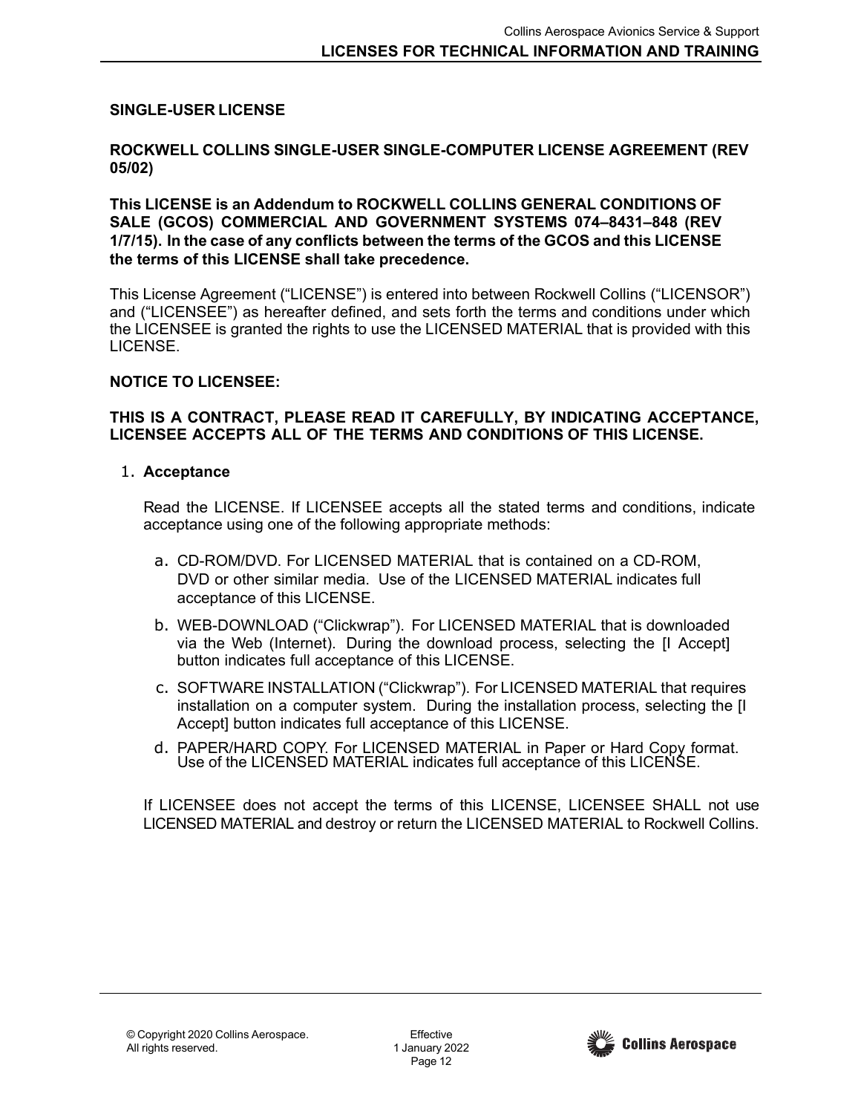### <span id="page-11-0"></span>**SINGLE-USER LICENSE**

#### **ROCKWELL COLLINS SINGLE-USER SINGLE-COMPUTER LICENSE AGREEMENT (REV 05/02)**

### **This LICENSE is an Addendum to ROCKWELL COLLINS GENERAL CONDITIONS OF SALE (GCOS) COMMERCIAL AND GOVERNMENT SYSTEMS 074–8431–848 (REV 1/7/15). In the case of any conflicts between the terms of the GCOS and this LICENSE the terms of this LICENSE shall take precedence.**

This License Agreement ("LICENSE") is entered into between Rockwell Collins ("LICENSOR") and ("LICENSEE") as hereafter defined, and sets forth the terms and conditions under which the LICENSEE is granted the rights to use the LICENSED MATERIAL that is provided with this LICENSE.

### **NOTICE TO LICENSEE:**

### **THIS IS A CONTRACT, PLEASE READ IT CAREFULLY, BY INDICATING ACCEPTANCE, LICENSEE ACCEPTS ALL OF THE TERMS AND CONDITIONS OF THIS LICENSE.**

### 1. **Acceptance**

Read the LICENSE. If LICENSEE accepts all the stated terms and conditions, indicate acceptance using one of the following appropriate methods:

- a. CD-ROM/DVD. For LICENSED MATERIAL that is contained on a CD-ROM, DVD or other similar media. Use of the LICENSED MATERIAL indicates full acceptance of this LICENSE.
- b. WEB-DOWNLOAD ("Clickwrap"). For LICENSED MATERIAL that is downloaded via the Web (Internet). During the download process, selecting the [I Accept] button indicates full acceptance of this LICENSE.
- c. SOFTWARE INSTALLATION ("Clickwrap"). For LICENSED MATERIAL that requires installation on a computer system. During the installation process, selecting the [I Accept] button indicates full acceptance of this LICENSE.
- d. PAPER/HARD COPY. For LICENSED MATERIAL in Paper or Hard Copy format. Use of the LICENSED MATERIAL indicates full acceptance of this LICENSE.

If LICENSEE does not accept the terms of this LICENSE, LICENSEE SHALL not use LICENSED MATERIAL and destroy or return the LICENSED MATERIAL to Rockwell Collins.

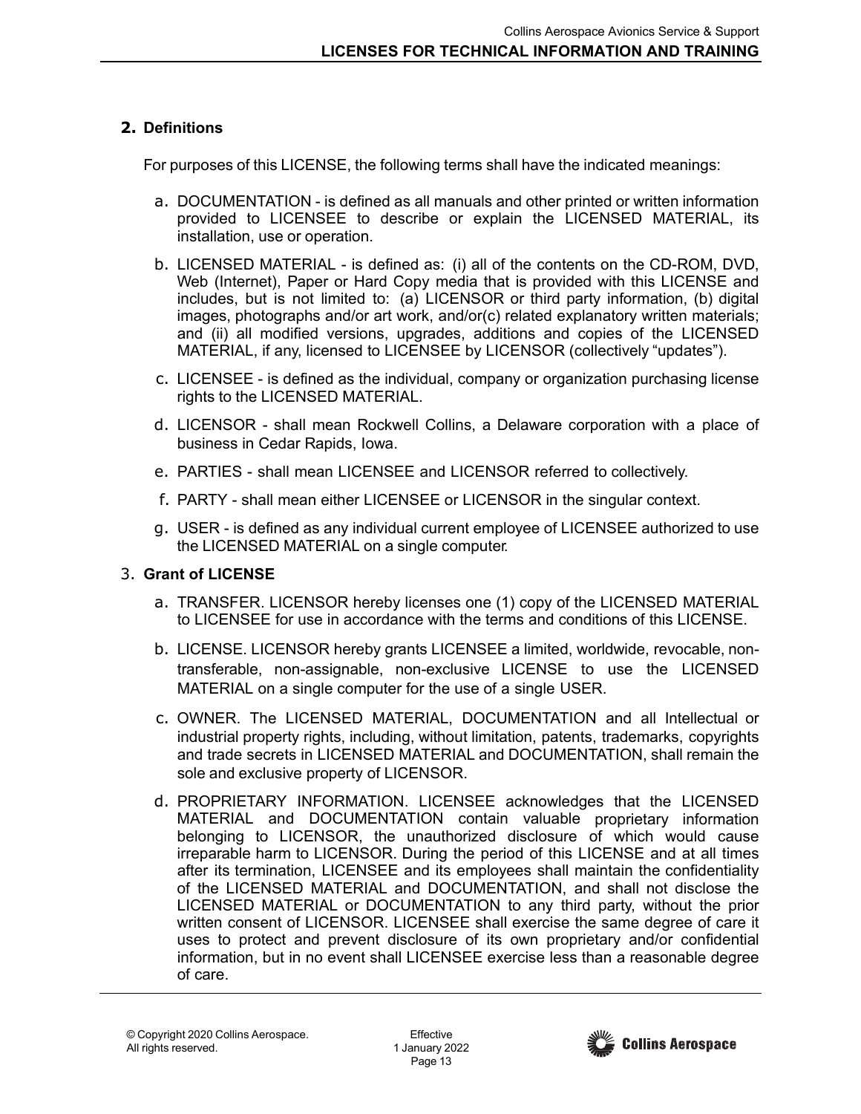# **2. Definitions**

For purposes of this LICENSE, the following terms shall have the indicated meanings:

- a. DOCUMENTATION is defined as all manuals and other printed or written information provided to LICENSEE to describe or explain the LICENSED MATERIAL, its installation, use or operation.
- b. LICENSED MATERIAL is defined as: (i) all of the contents on the CD-ROM, DVD, Web (Internet), Paper or Hard Copy media that is provided with this LICENSE and includes, but is not limited to: (a) LICENSOR or third party information, (b) digital images, photographs and/or art work, and/or(c) related explanatory written materials; and (ii) all modified versions, upgrades, additions and copies of the LICENSED MATERIAL, if any, licensed to LICENSEE by LICENSOR (collectively "updates").
- c. LICENSEE is defined as the individual, company or organization purchasing license rights to the LICENSED MATERIAL.
- d. LICENSOR shall mean Rockwell Collins, a Delaware corporation with a place of business in Cedar Rapids, Iowa.
- e. PARTIES shall mean LICENSEE and LICENSOR referred to collectively.
- f. PARTY shall mean either LICENSEE or LICENSOR in the singular context.
- g. USER is defined as any individual current employee of LICENSEE authorized to use the LICENSED MATERIAL on a single computer.

# 3. **Grant of LICENSE**

- a. TRANSFER. LICENSOR hereby licenses one (1) copy of the LICENSED MATERIAL to LICENSEE for use in accordance with the terms and conditions of this LICENSE.
- b. LICENSE. LICENSOR hereby grants LICENSEE a limited, worldwide, revocable, nontransferable, non-assignable, non-exclusive LICENSE to use the LICENSED MATERIAL on a single computer for the use of a single USER.
- c. OWNER. The LICENSED MATERIAL, DOCUMENTATION and all Intellectual or industrial property rights, including, without limitation, patents, trademarks, copyrights and trade secrets in LICENSED MATERIAL and DOCUMENTATION, shall remain the sole and exclusive property of LICENSOR.
- d. PROPRIETARY INFORMATION. LICENSEE acknowledges that the LICENSED MATERIAL and DOCUMENTATION contain valuable proprietary information belonging to LICENSOR, the unauthorized disclosure of which would cause irreparable harm to LICENSOR. During the period of this LICENSE and at all times after its termination, LICENSEE and its employees shall maintain the confidentiality of the LICENSED MATERIAL and DOCUMENTATION, and shall not disclose the LICENSED MATERIAL or DOCUMENTATION to any third party, without the prior written consent of LICENSOR. LICENSEE shall exercise the same degree of care it uses to protect and prevent disclosure of its own proprietary and/or confidential information, but in no event shall LICENSEE exercise less than a reasonable degree of care.

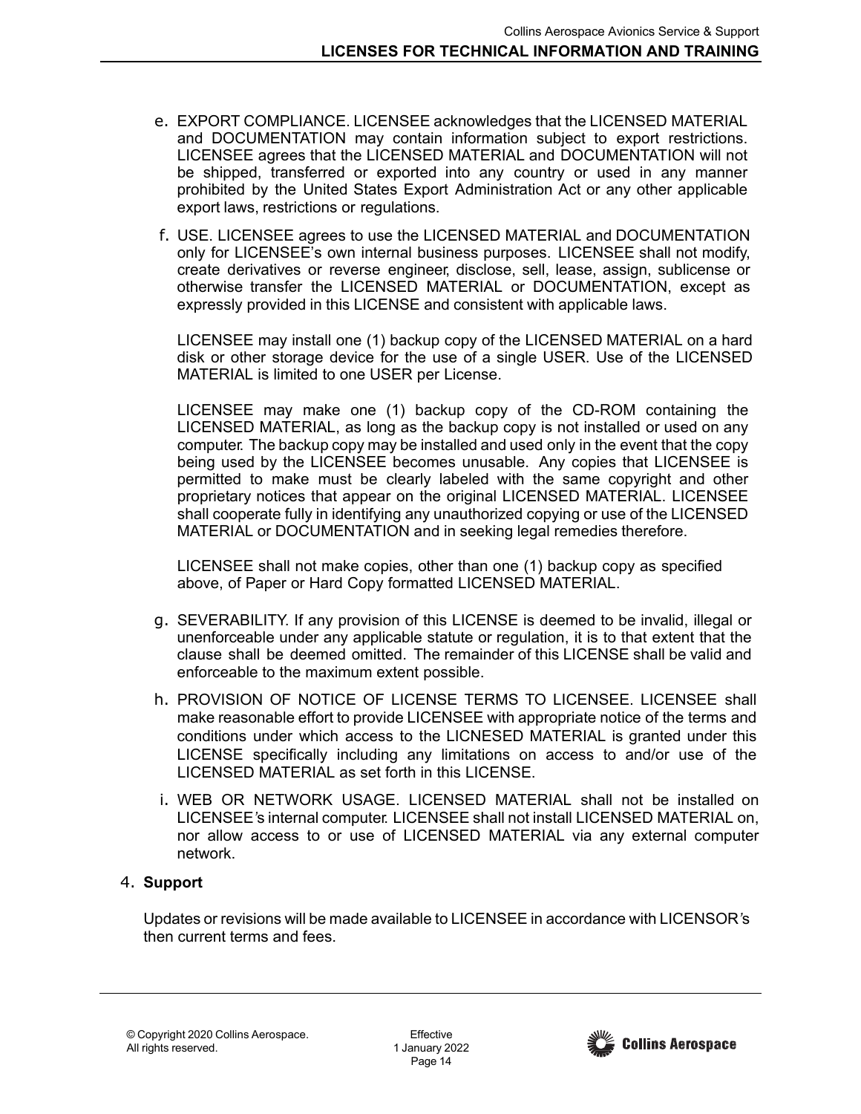- e. EXPORT COMPLIANCE. LICENSEE acknowledges that the LICENSED MATERIAL and DOCUMENTATION may contain information subject to export restrictions. LICENSEE agrees that the LICENSED MATERIAL and DOCUMENTATION will not be shipped, transferred or exported into any country or used in any manner prohibited by the United States Export Administration Act or any other applicable export laws, restrictions or regulations.
- f. USE. LICENSEE agrees to use the LICENSED MATERIAL and DOCUMENTATION only for LICENSEE's own internal business purposes. LICENSEE shall not modify, create derivatives or reverse engineer, disclose, sell, lease, assign, sublicense or otherwise transfer the LICENSED MATERIAL or DOCUMENTATION, except as expressly provided in this LICENSE and consistent with applicable laws.

LICENSEE may install one (1) backup copy of the LICENSED MATERIAL on a hard disk or other storage device for the use of a single USER. Use of the LICENSED MATERIAL is limited to one USER per License.

LICENSEE may make one (1) backup copy of the CD-ROM containing the LICENSED MATERIAL, as long as the backup copy is not installed or used on any computer. The backup copy may be installed and used only in the event that the copy being used by the LICENSEE becomes unusable. Any copies that LICENSEE is permitted to make must be clearly labeled with the same copyright and other proprietary notices that appear on the original LICENSED MATERIAL. LICENSEE shall cooperate fully in identifying any unauthorized copying or use of the LICENSED MATERIAL or DOCUMENTATION and in seeking legal remedies therefore.

LICENSEE shall not make copies, other than one (1) backup copy as specified above, of Paper or Hard Copy formatted LICENSED MATERIAL.

- g. SEVERABILITY. If any provision of this LICENSE is deemed to be invalid, illegal or unenforceable under any applicable statute or regulation, it is to that extent that the clause shall be deemed omitted. The remainder of this LICENSE shall be valid and enforceable to the maximum extent possible.
- h. PROVISION OF NOTICE OF LICENSE TERMS TO LICENSEE. LICENSEE shall make reasonable effort to provide LICENSEE with appropriate notice of the terms and conditions under which access to the LICNESED MATERIAL is granted under this LICENSE specifically including any limitations on access to and/or use of the LICENSED MATERIAL as set forth in this LICENSE.
- i. WEB OR NETWORK USAGE. LICENSED MATERIAL shall not be installed on LICENSEE*'*s internal computer. LICENSEE shall not install LICENSED MATERIAL on, nor allow access to or use of LICENSED MATERIAL via any external computer network.

## 4. **Support**

Updates or revisions will be made available to LICENSEE in accordance with LICENSOR*'*s then current terms and fees.

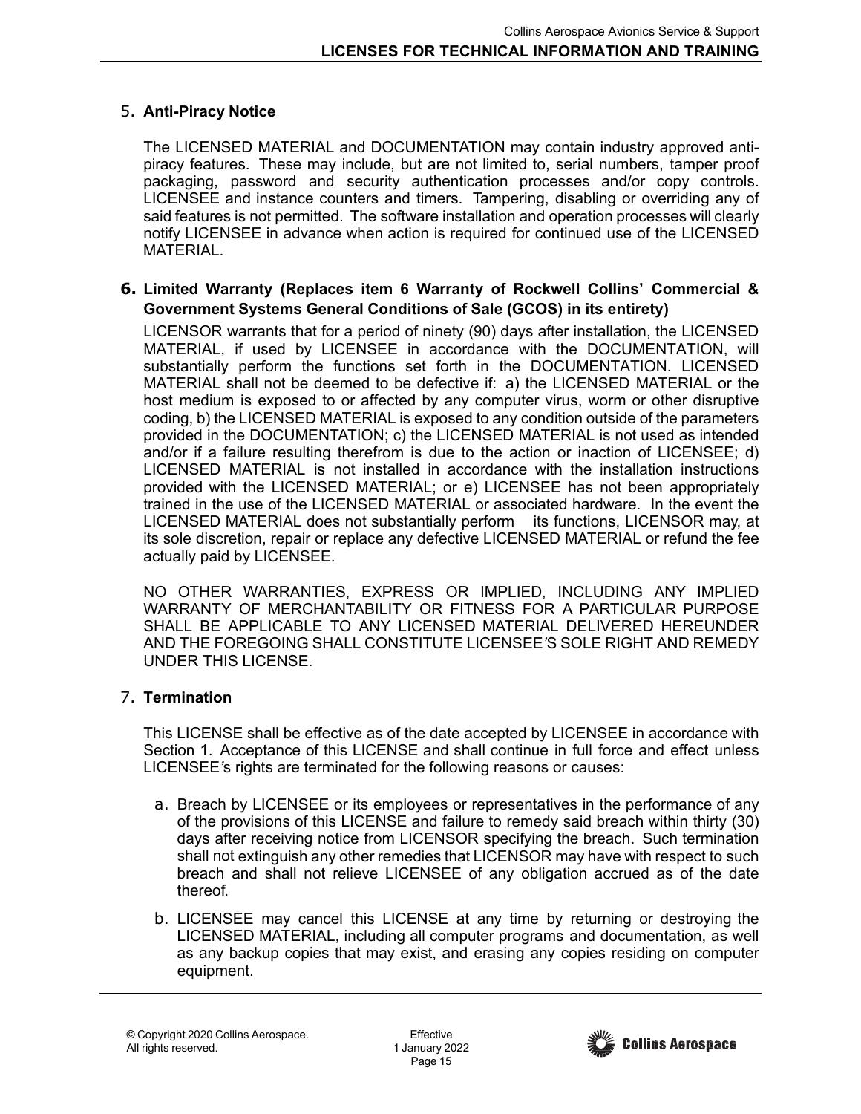## 5. **Anti-Piracy Notice**

The LICENSED MATERIAL and DOCUMENTATION may contain industry approved antipiracy features. These may include, but are not limited to, serial numbers, tamper proof packaging, password and security authentication processes and/or copy controls. LICENSEE and instance counters and timers. Tampering, disabling or overriding any of said features is not permitted. The software installation and operation processes will clearly notify LICENSEE in advance when action is required for continued use of the LICENSED MATERIAL.

### **6. Limited Warranty (Replaces item 6 Warranty of Rockwell Collins' Commercial & Government Systems General Conditions of Sale (GCOS) in its entirety)**

LICENSOR warrants that for a period of ninety (90) days after installation, the LICENSED MATERIAL, if used by LICENSEE in accordance with the DOCUMENTATION, will substantially perform the functions set forth in the DOCUMENTATION. LICENSED MATERIAL shall not be deemed to be defective if: a) the LICENSED MATERIAL or the host medium is exposed to or affected by any computer virus, worm or other disruptive coding, b) the LICENSED MATERIAL is exposed to any condition outside of the parameters provided in the DOCUMENTATION; c) the LICENSED MATERIAL is not used as intended and/or if a failure resulting therefrom is due to the action or inaction of LICENSEE; d) LICENSED MATERIAL is not installed in accordance with the installation instructions provided with the LICENSED MATERIAL; or e) LICENSEE has not been appropriately trained in the use of the LICENSED MATERIAL or associated hardware. In the event the LICENSED MATERIAL does not substantially perform its functions, LICENSOR may, at its sole discretion, repair or replace any defective LICENSED MATERIAL or refund the fee actually paid by LICENSEE.

NO OTHER WARRANTIES, EXPRESS OR IMPLIED, INCLUDING ANY IMPLIED WARRANTY OF MERCHANTABILITY OR FITNESS FOR A PARTICULAR PURPOSE SHALL BE APPLICABLE TO ANY LICENSED MATERIAL DELIVERED HEREUNDER AND THE FOREGOING SHALL CONSTITUTE LICENSEE*'*S SOLE RIGHT AND REMEDY UNDER THIS LICENSE.

### 7. **Termination**

This LICENSE shall be effective as of the date accepted by LICENSEE in accordance with Section 1. Acceptance of this LICENSE and shall continue in full force and effect unless LICENSEE*'*s rights are terminated for the following reasons or causes:

- a. Breach by LICENSEE or its employees or representatives in the performance of any of the provisions of this LICENSE and failure to remedy said breach within thirty (30) days after receiving notice from LICENSOR specifying the breach. Such termination shall not extinguish any other remedies that LICENSOR may have with respect to such breach and shall not relieve LICENSEE of any obligation accrued as of the date thereof.
- b. LICENSEE may cancel this LICENSE at any time by returning or destroying the LICENSED MATERIAL, including all computer programs and documentation, as well as any backup copies that may exist, and erasing any copies residing on computer equipment.

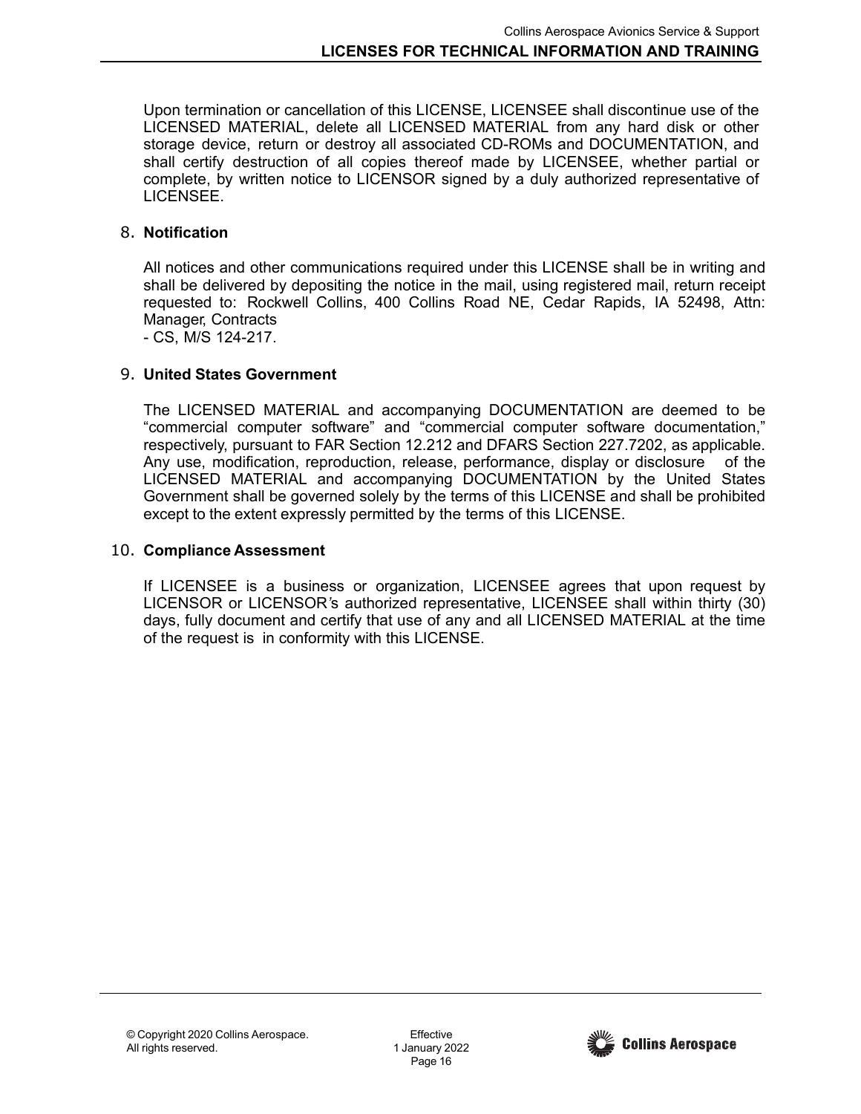Upon termination or cancellation of this LICENSE, LICENSEE shall discontinue use of the LICENSED MATERIAL, delete all LICENSED MATERIAL from any hard disk or other storage device, return or destroy all associated CD-ROMs and DOCUMENTATION, and shall certify destruction of all copies thereof made by LICENSEE, whether partial or complete, by written notice to LICENSOR signed by a duly authorized representative of LICENSEE.

## 8. **Notification**

All notices and other communications required under this LICENSE shall be in writing and shall be delivered by depositing the notice in the mail, using registered mail, return receipt requested to: Rockwell Collins, 400 Collins Road NE, Cedar Rapids, IA 52498, Attn: Manager, Contracts

- CS, M/S 124-217.

## 9. **United States Government**

The LICENSED MATERIAL and accompanying DOCUMENTATION are deemed to be "commercial computer software" and "commercial computer software documentation," respectively, pursuant to FAR Section 12.212 and DFARS Section 227.7202, as applicable. Any use, modification, reproduction, release, performance, display or disclosure of the LICENSED MATERIAL and accompanying DOCUMENTATION by the United States Government shall be governed solely by the terms of this LICENSE and shall be prohibited except to the extent expressly permitted by the terms of this LICENSE.

## 10. **Compliance Assessment**

If LICENSEE is a business or organization, LICENSEE agrees that upon request by LICENSOR or LICENSOR*'*s authorized representative, LICENSEE shall within thirty (30) days, fully document and certify that use of any and all LICENSED MATERIAL at the time of the request is in conformity with this LICENSE.

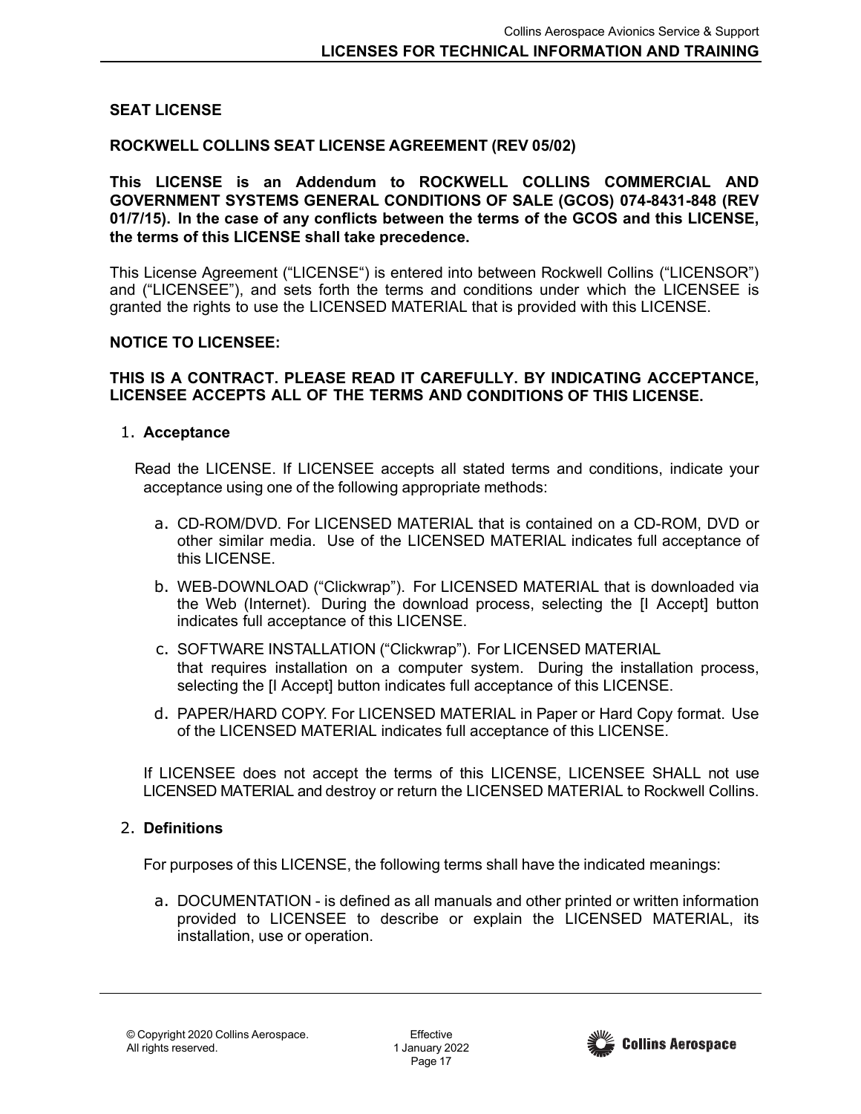### <span id="page-16-0"></span>**SEAT LICENSE**

#### **ROCKWELL COLLINS SEAT LICENSE AGREEMENT (REV 05/02)**

**This LICENSE is an Addendum to ROCKWELL COLLINS COMMERCIAL AND GOVERNMENT SYSTEMS GENERAL CONDITIONS OF SALE (GCOS) 074-8431-848 (REV 01/7/15). In the case of any conflicts between the terms of the GCOS and this LICENSE, the terms of this LICENSE shall take precedence.**

This License Agreement ("LICENSE") is entered into between Rockwell Collins ("LICENSOR") and ("LICENSEE"), and sets forth the terms and conditions under which the LICENSEE is granted the rights to use the LICENSED MATERIAL that is provided with this LICENSE.

#### **NOTICE TO LICENSEE:**

#### **THIS IS A CONTRACT. PLEASE READ IT CAREFULLY. BY INDICATING ACCEPTANCE, LICENSEE ACCEPTS ALL OF THE TERMS AND CONDITIONS OF THIS LICENSE.**

#### 1. **Acceptance**

Read the LICENSE. If LICENSEE accepts all stated terms and conditions, indicate your acceptance using one of the following appropriate methods:

- a. CD-ROM/DVD. For LICENSED MATERIAL that is contained on a CD-ROM, DVD or other similar media. Use of the LICENSED MATERIAL indicates full acceptance of this LICENSE.
- b. WEB-DOWNLOAD ("Clickwrap"). For LICENSED MATERIAL that is downloaded via the Web (Internet). During the download process, selecting the [I Accept] button indicates full acceptance of this LICENSE.
- c. SOFTWARE INSTALLATION ("Clickwrap"). For LICENSED MATERIAL that requires installation on a computer system. During the installation process, selecting the [I Accept] button indicates full acceptance of this LICENSE.
- d. PAPER/HARD COPY. For LICENSED MATERIAL in Paper or Hard Copy format. Use of the LICENSED MATERIAL indicates full acceptance of this LICENSE.

If LICENSEE does not accept the terms of this LICENSE, LICENSEE SHALL not use LICENSED MATERIAL and destroy or return the LICENSED MATERIAL to Rockwell Collins.

### 2. **Definitions**

For purposes of this LICENSE, the following terms shall have the indicated meanings:

a. DOCUMENTATION - is defined as all manuals and other printed or written information provided to LICENSEE to describe or explain the LICENSED MATERIAL, its installation, use or operation.

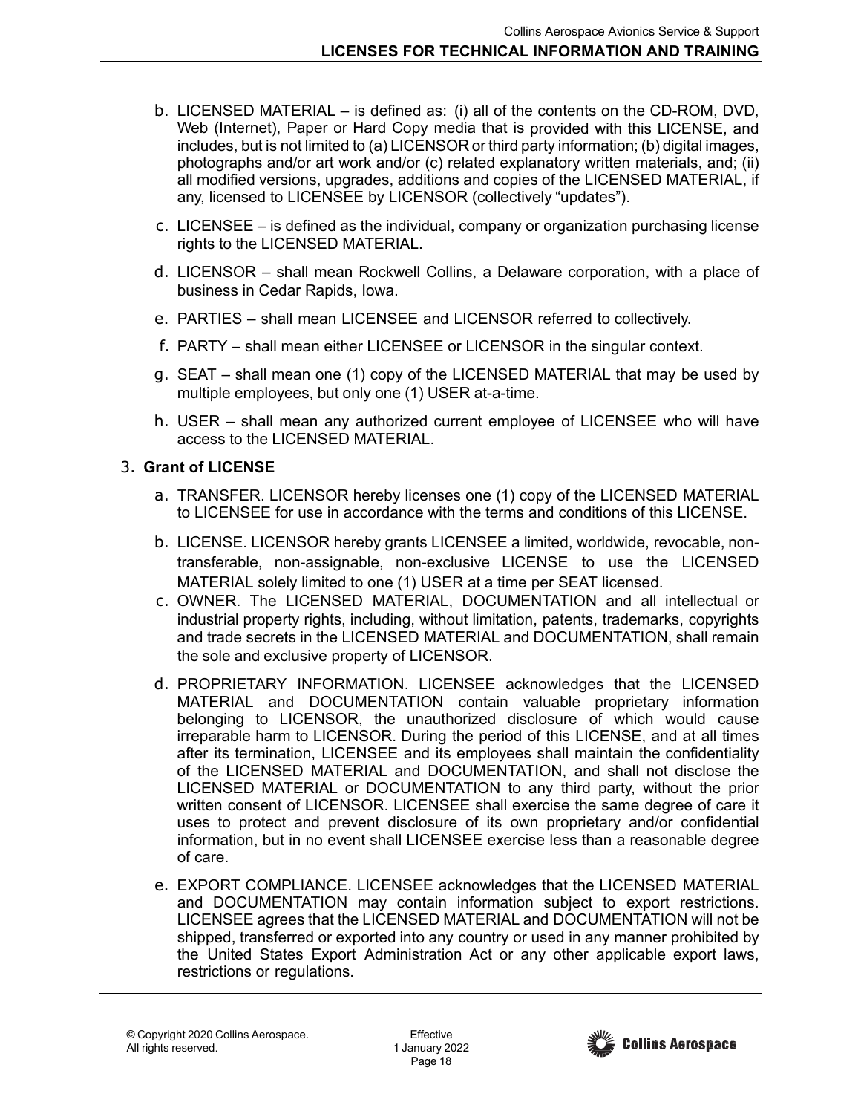- b. LICENSED MATERIAL is defined as: (i) all of the contents on the CD-ROM, DVD, Web (Internet), Paper or Hard Copy media that is provided with this LICENSE, and includes, but is not limited to (a) LICENSOR or third party information; (b) digital images, photographs and/or art work and/or (c) related explanatory written materials, and; (ii) all modified versions, upgrades, additions and copies of the LICENSED MATERIAL, if any, licensed to LICENSEE by LICENSOR (collectively "updates").
- c. LICENSEE is defined as the individual, company or organization purchasing license rights to the LICENSED MATERIAL.
- d. LICENSOR shall mean Rockwell Collins, a Delaware corporation, with a place of business in Cedar Rapids, Iowa.
- e. PARTIES shall mean LICENSEE and LICENSOR referred to collectively.
- f. PARTY shall mean either LICENSEE or LICENSOR in the singular context.
- g. SEAT shall mean one (1) copy of the LICENSED MATERIAL that may be used by multiple employees, but only one (1) USER at-a-time.
- h. USER shall mean any authorized current employee of LICENSEE who will have access to the LICENSED MATERIAL.

# 3. **Grant of LICENSE**

- a. TRANSFER. LICENSOR hereby licenses one (1) copy of the LICENSED MATERIAL to LICENSEE for use in accordance with the terms and conditions of this LICENSE.
- b. LICENSE. LICENSOR hereby grants LICENSEE a limited, worldwide, revocable, nontransferable, non-assignable, non-exclusive LICENSE to use the LICENSED MATERIAL solely limited to one (1) USER at a time per SEAT licensed.
- c. OWNER. The LICENSED MATERIAL, DOCUMENTATION and all intellectual or industrial property rights, including, without limitation, patents, trademarks, copyrights and trade secrets in the LICENSED MATERIAL and DOCUMENTATION, shall remain the sole and exclusive property of LICENSOR.
- d. PROPRIETARY INFORMATION. LICENSEE acknowledges that the LICENSED MATERIAL and DOCUMENTATION contain valuable proprietary information belonging to LICENSOR, the unauthorized disclosure of which would cause irreparable harm to LICENSOR. During the period of this LICENSE, and at all times after its termination, LICENSEE and its employees shall maintain the confidentiality of the LICENSED MATERIAL and DOCUMENTATION, and shall not disclose the LICENSED MATERIAL or DOCUMENTATION to any third party, without the prior written consent of LICENSOR. LICENSEE shall exercise the same degree of care it uses to protect and prevent disclosure of its own proprietary and/or confidential information, but in no event shall LICENSEE exercise less than a reasonable degree of care.
- e. EXPORT COMPLIANCE. LICENSEE acknowledges that the LICENSED MATERIAL and DOCUMENTATION may contain information subject to export restrictions. LICENSEE agrees that the LICENSED MATERIAL and DOCUMENTATION will not be shipped, transferred or exported into any country or used in any manner prohibited by the United States Export Administration Act or any other applicable export laws, restrictions or regulations.

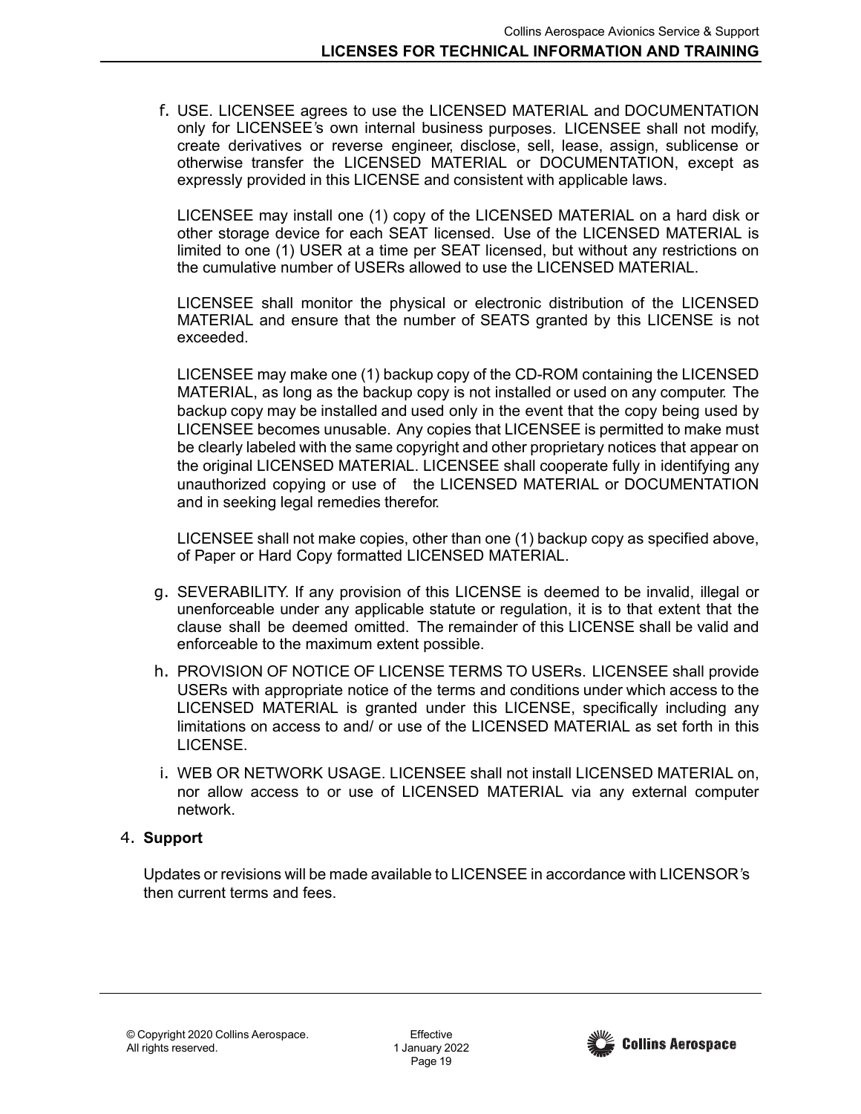f. USE. LICENSEE agrees to use the LICENSED MATERIAL and DOCUMENTATION only for LICENSEE*'*s own internal business purposes. LICENSEE shall not modify, create derivatives or reverse engineer, disclose, sell, lease, assign, sublicense or otherwise transfer the LICENSED MATERIAL or DOCUMENTATION, except as expressly provided in this LICENSE and consistent with applicable laws.

LICENSEE may install one (1) copy of the LICENSED MATERIAL on a hard disk or other storage device for each SEAT licensed. Use of the LICENSED MATERIAL is limited to one (1) USER at a time per SEAT licensed, but without any restrictions on the cumulative number of USERs allowed to use the LICENSED MATERIAL.

LICENSEE shall monitor the physical or electronic distribution of the LICENSED MATERIAL and ensure that the number of SEATS granted by this LICENSE is not exceeded.

LICENSEE may make one (1) backup copy of the CD-ROM containing the LICENSED MATERIAL, as long as the backup copy is not installed or used on any computer. The backup copy may be installed and used only in the event that the copy being used by LICENSEE becomes unusable. Any copies that LICENSEE is permitted to make must be clearly labeled with the same copyright and other proprietary notices that appear on the original LICENSED MATERIAL. LICENSEE shall cooperate fully in identifying any unauthorized copying or use of the LICENSED MATERIAL or DOCUMENTATION and in seeking legal remedies therefor.

LICENSEE shall not make copies, other than one (1) backup copy as specified above, of Paper or Hard Copy formatted LICENSED MATERIAL.

- g. SEVERABILITY. If any provision of this LICENSE is deemed to be invalid, illegal or unenforceable under any applicable statute or regulation, it is to that extent that the clause shall be deemed omitted. The remainder of this LICENSE shall be valid and enforceable to the maximum extent possible.
- h. PROVISION OF NOTICE OF LICENSE TERMS TO USERs. LICENSEE shall provide USERs with appropriate notice of the terms and conditions under which access to the LICENSED MATERIAL is granted under this LICENSE, specifically including any limitations on access to and/ or use of the LICENSED MATERIAL as set forth in this LICENSE.
- i. WEB OR NETWORK USAGE. LICENSEE shall not install LICENSED MATERIAL on, nor allow access to or use of LICENSED MATERIAL via any external computer network.

## 4. **Support**

Updates or revisions will be made available to LICENSEE in accordance with LICENSOR*'*s then current terms and fees.

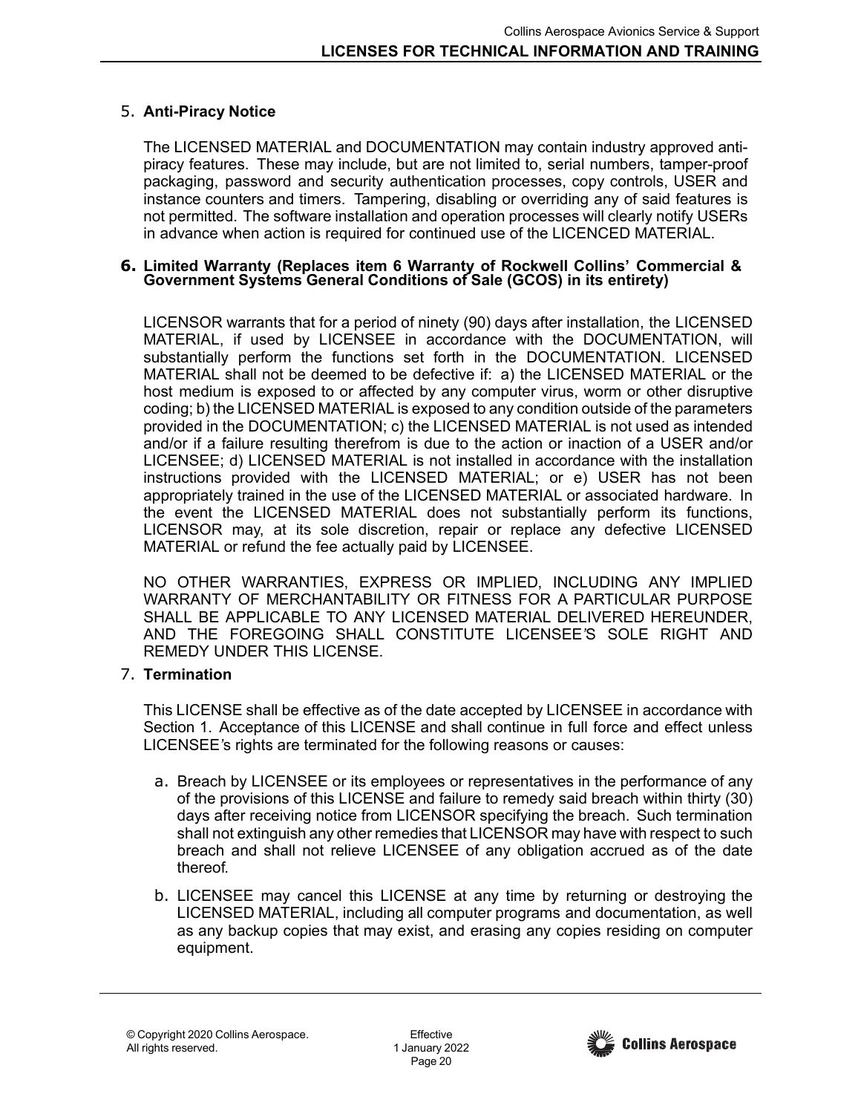## 5. **Anti-Piracy Notice**

The LICENSED MATERIAL and DOCUMENTATION may contain industry approved antipiracy features. These may include, but are not limited to, serial numbers, tamper-proof packaging, password and security authentication processes, copy controls, USER and instance counters and timers. Tampering, disabling or overriding any of said features is not permitted. The software installation and operation processes will clearly notify USERs in advance when action is required for continued use of the LICENCED MATERIAL.

#### **6. Limited Warranty (Replaces item 6 Warranty of Rockwell Collins' Commercial & Government Systems General Conditions of Sale (GCOS) in its entirety)**

LICENSOR warrants that for a period of ninety (90) days after installation, the LICENSED MATERIAL, if used by LICENSEE in accordance with the DOCUMENTATION, will substantially perform the functions set forth in the DOCUMENTATION. LICENSED MATERIAL shall not be deemed to be defective if: a) the LICENSED MATERIAL or the host medium is exposed to or affected by any computer virus, worm or other disruptive coding; b) the LICENSED MATERIAL is exposed to any condition outside of the parameters provided in the DOCUMENTATION; c) the LICENSED MATERIAL is not used as intended and/or if a failure resulting therefrom is due to the action or inaction of a USER and/or LICENSEE; d) LICENSED MATERIAL is not installed in accordance with the installation instructions provided with the LICENSED MATERIAL; or e) USER has not been appropriately trained in the use of the LICENSED MATERIAL or associated hardware. In the event the LICENSED MATERIAL does not substantially perform its functions, LICENSOR may, at its sole discretion, repair or replace any defective LICENSED MATERIAL or refund the fee actually paid by LICENSEE.

NO OTHER WARRANTIES, EXPRESS OR IMPLIED, INCLUDING ANY IMPLIED WARRANTY OF MERCHANTABILITY OR FITNESS FOR A PARTICULAR PURPOSE SHALL BE APPLICABLE TO ANY LICENSED MATERIAL DELIVERED HEREUNDER, AND THE FOREGOING SHALL CONSTITUTE LICENSEE*'*S SOLE RIGHT AND REMEDY UNDER THIS LICENSE.

## 7. **Termination**

This LICENSE shall be effective as of the date accepted by LICENSEE in accordance with Section 1. Acceptance of this LICENSE and shall continue in full force and effect unless LICENSEE*'*s rights are terminated for the following reasons or causes:

- a. Breach by LICENSEE or its employees or representatives in the performance of any of the provisions of this LICENSE and failure to remedy said breach within thirty (30) days after receiving notice from LICENSOR specifying the breach. Such termination shall not extinguish any other remedies that LICENSOR may have with respect to such breach and shall not relieve LICENSEE of any obligation accrued as of the date thereof.
- b. LICENSEE may cancel this LICENSE at any time by returning or destroying the LICENSED MATERIAL, including all computer programs and documentation, as well as any backup copies that may exist, and erasing any copies residing on computer equipment.

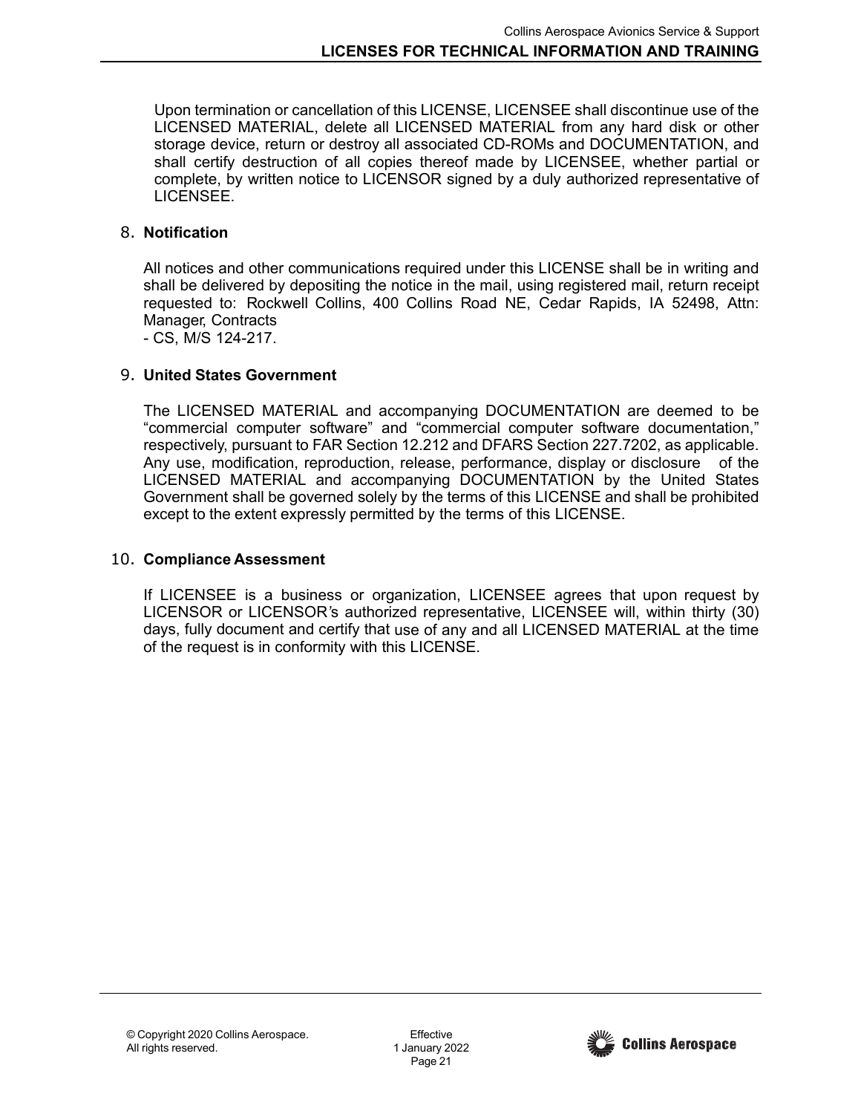Upon termination or cancellation of this LICENSE, LICENSEE shall discontinue use of the LICENSED MATERIAL, delete all LICENSED MATERIAL from any hard disk or other storage device, return or destroy all associated CD-ROMs and DOCUMENTATION, and shall certify destruction of all copies thereof made by LICENSEE, whether partial or complete, by written notice to LICENSOR signed by a duly authorized representative of LICENSEE.

### 8. **Notification**

All notices and other communications required under this LICENSE shall be in writing and shall be delivered by depositing the notice in the mail, using registered mail, return receipt requested to: Rockwell Collins, 400 Collins Road NE, Cedar Rapids, IA 52498, Attn: Manager, Contracts

- CS, M/S 124-217.

### 9. **United States Government**

The LICENSED MATERIAL and accompanying DOCUMENTATION are deemed to be "commercial computer software" and "commercial computer software documentation," respectively, pursuant to FAR Section 12.212 and DFARS Section 227.7202, as applicable. Any use, modification, reproduction, release, performance, display or disclosure of the LICENSED MATERIAL and accompanying DOCUMENTATION by the United States Government shall be governed solely by the terms of this LICENSE and shall be prohibited except to the extent expressly permitted by the terms of this LICENSE.

### 10. **Compliance Assessment**

If LICENSEE is a business or organization, LICENSEE agrees that upon request by LICENSOR or LICENSOR*'*s authorized representative, LICENSEE will, within thirty (30) days, fully document and certify that use of any and all LICENSED MATERIAL at the time of the request is in conformity with this LICENSE.

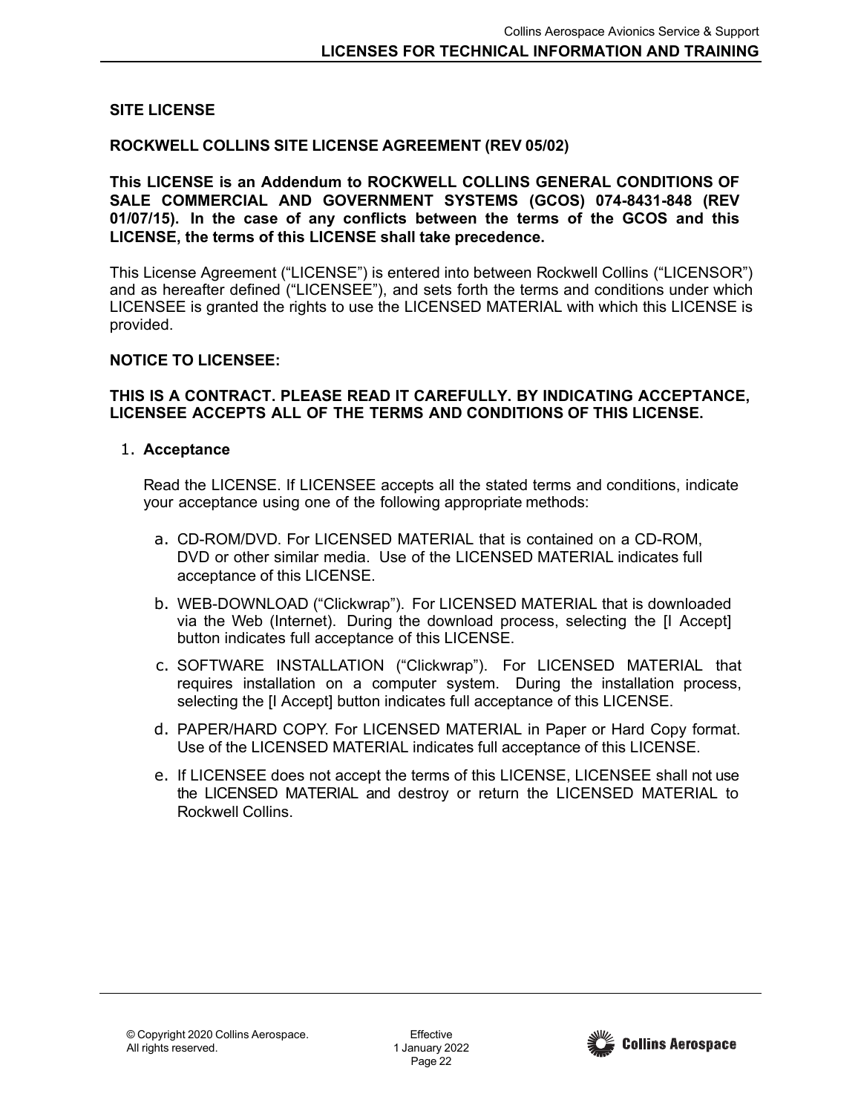### <span id="page-21-0"></span>**SITE LICENSE**

#### **ROCKWELL COLLINS SITE LICENSE AGREEMENT (REV 05/02)**

**This LICENSE is an Addendum to ROCKWELL COLLINS GENERAL CONDITIONS OF SALE COMMERCIAL AND GOVERNMENT SYSTEMS (GCOS) 074-8431-848 (REV 01/07/15). In the case of any conflicts between the terms of the GCOS and this LICENSE, the terms of this LICENSE shall take precedence.**

This License Agreement ("LICENSE") is entered into between Rockwell Collins ("LICENSOR") and as hereafter defined ("LICENSEE"), and sets forth the terms and conditions under which LICENSEE is granted the rights to use the LICENSED MATERIAL with which this LICENSE is provided.

#### **NOTICE TO LICENSEE:**

#### **THIS IS A CONTRACT. PLEASE READ IT CAREFULLY. BY INDICATING ACCEPTANCE, LICENSEE ACCEPTS ALL OF THE TERMS AND CONDITIONS OF THIS LICENSE.**

### 1. **Acceptance**

Read the LICENSE. If LICENSEE accepts all the stated terms and conditions, indicate your acceptance using one of the following appropriate methods:

- a. CD-ROM/DVD. For LICENSED MATERIAL that is contained on a CD-ROM, DVD or other similar media. Use of the LICENSED MATERIAL indicates full acceptance of this LICENSE.
- b. WEB-DOWNLOAD ("Clickwrap"). For LICENSED MATERIAL that is downloaded via the Web (Internet). During the download process, selecting the [I Accept] button indicates full acceptance of this LICENSE.
- c. SOFTWARE INSTALLATION ("Clickwrap"). For LICENSED MATERIAL that requires installation on a computer system. During the installation process, selecting the [I Accept] button indicates full acceptance of this LICENSE.
- d. PAPER/HARD COPY. For LICENSED MATERIAL in Paper or Hard Copy format. Use of the LICENSED MATERIAL indicates full acceptance of this LICENSE.
- e. If LICENSEE does not accept the terms of this LICENSE, LICENSEE shall not use the LICENSED MATERIAL and destroy or return the LICENSED MATERIAL to Rockwell Collins.

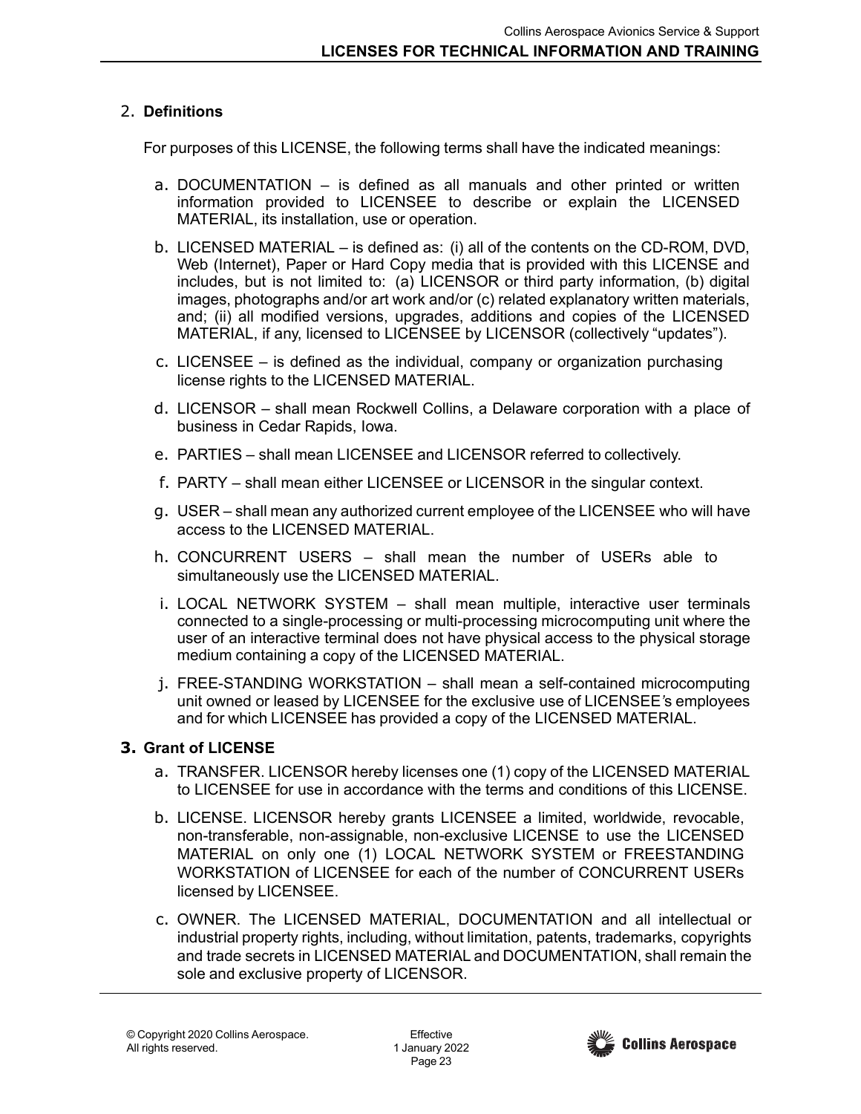## 2. **Definitions**

For purposes of this LICENSE, the following terms shall have the indicated meanings:

- a. DOCUMENTATION is defined as all manuals and other printed or written information provided to LICENSEE to describe or explain the LICENSED MATERIAL, its installation, use or operation.
- b. LICENSED MATERIAL is defined as: (i) all of the contents on the CD-ROM, DVD, Web (Internet), Paper or Hard Copy media that is provided with this LICENSE and includes, but is not limited to: (a) LICENSOR or third party information, (b) digital images, photographs and/or art work and/or (c) related explanatory written materials, and; (ii) all modified versions, upgrades, additions and copies of the LICENSED MATERIAL, if any, licensed to LICENSEE by LICENSOR (collectively "updates").
- c. LICENSEE is defined as the individual, company or organization purchasing license rights to the LICENSED MATERIAL.
- d. LICENSOR shall mean Rockwell Collins, a Delaware corporation with a place of business in Cedar Rapids, Iowa.
- e. PARTIES shall mean LICENSEE and LICENSOR referred to collectively.
- f. PARTY shall mean either LICENSEE or LICENSOR in the singular context.
- g. USER shall mean any authorized current employee of the LICENSEE who will have access to the LICENSED MATERIAL.
- h. CONCURRENT USERS shall mean the number of USERs able to simultaneously use the LICENSED MATERIAL.
- i. LOCAL NETWORK SYSTEM shall mean multiple, interactive user terminals connected to a single-processing or multi-processing microcomputing unit where the user of an interactive terminal does not have physical access to the physical storage medium containing a copy of the LICENSED MATERIAL.
- j. FREE-STANDING WORKSTATION shall mean a self-contained microcomputing unit owned or leased by LICENSEE for the exclusive use of LICENSEE*'*s employees and for which LICENSEE has provided a copy of the LICENSED MATERIAL.

## **3. Grant of LICENSE**

- a. TRANSFER. LICENSOR hereby licenses one (1) copy of the LICENSED MATERIAL to LICENSEE for use in accordance with the terms and conditions of this LICENSE.
- b. LICENSE. LICENSOR hereby grants LICENSEE a limited, worldwide, revocable, non-transferable, non-assignable, non-exclusive LICENSE to use the LICENSED MATERIAL on only one (1) LOCAL NETWORK SYSTEM or FREESTANDING WORKSTATION of LICENSEE for each of the number of CONCURRENT USERs licensed by LICENSEE.
- c. OWNER. The LICENSED MATERIAL, DOCUMENTATION and all intellectual or industrial property rights, including, without limitation, patents, trademarks, copyrights and trade secrets in LICENSED MATERIAL and DOCUMENTATION, shall remain the sole and exclusive property of LICENSOR.

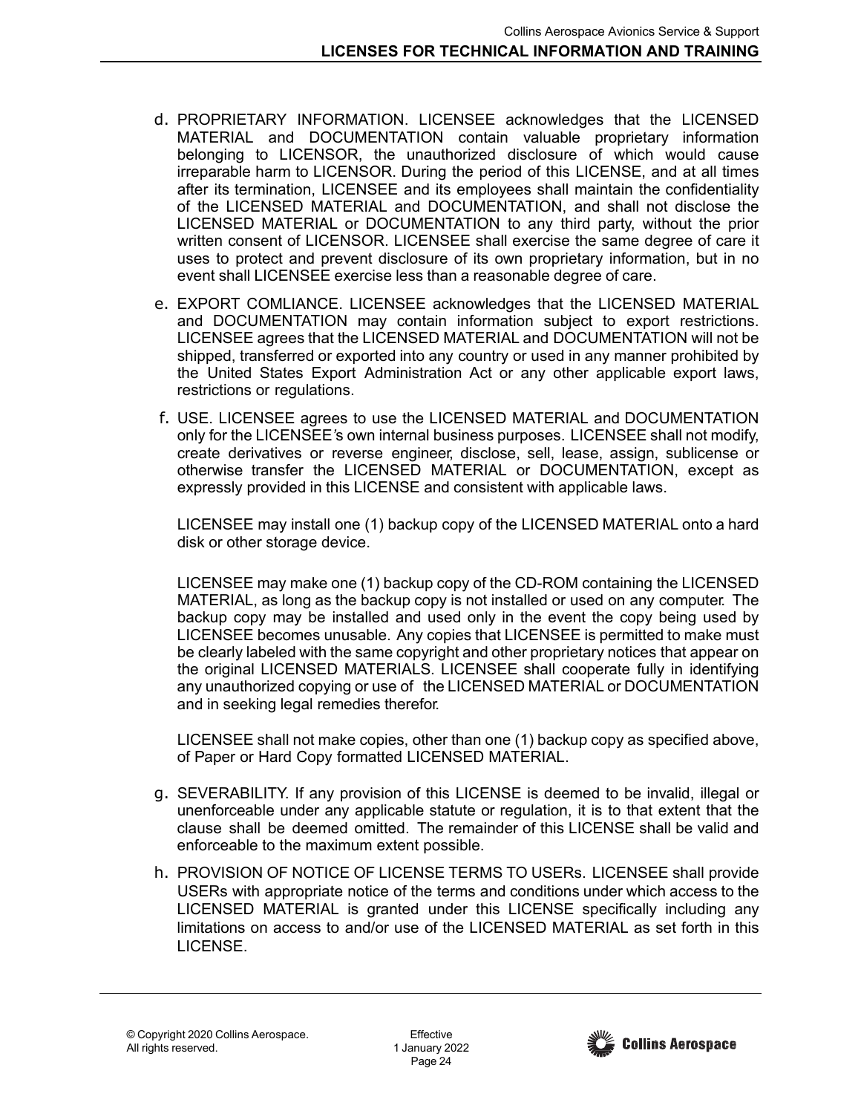- d. PROPRIETARY INFORMATION. LICENSEE acknowledges that the LICENSED MATERIAL and DOCUMENTATION contain valuable proprietary information belonging to LICENSOR, the unauthorized disclosure of which would cause irreparable harm to LICENSOR. During the period of this LICENSE, and at all times after its termination, LICENSEE and its employees shall maintain the confidentiality of the LICENSED MATERIAL and DOCUMENTATION, and shall not disclose the LICENSED MATERIAL or DOCUMENTATION to any third party, without the prior written consent of LICENSOR. LICENSEE shall exercise the same degree of care it uses to protect and prevent disclosure of its own proprietary information, but in no event shall LICENSEE exercise less than a reasonable degree of care.
- e. EXPORT COMLIANCE. LICENSEE acknowledges that the LICENSED MATERIAL and DOCUMENTATION may contain information subject to export restrictions. LICENSEE agrees that the LICENSED MATERIAL and DOCUMENTATION will not be shipped, transferred or exported into any country or used in any manner prohibited by the United States Export Administration Act or any other applicable export laws, restrictions or regulations.
- f. USE. LICENSEE agrees to use the LICENSED MATERIAL and DOCUMENTATION only for the LICENSEE*'*s own internal business purposes. LICENSEE shall not modify, create derivatives or reverse engineer, disclose, sell, lease, assign, sublicense or otherwise transfer the LICENSED MATERIAL or DOCUMENTATION, except as expressly provided in this LICENSE and consistent with applicable laws.

LICENSEE may install one (1) backup copy of the LICENSED MATERIAL onto a hard disk or other storage device.

LICENSEE may make one (1) backup copy of the CD-ROM containing the LICENSED MATERIAL, as long as the backup copy is not installed or used on any computer. The backup copy may be installed and used only in the event the copy being used by LICENSEE becomes unusable. Any copies that LICENSEE is permitted to make must be clearly labeled with the same copyright and other proprietary notices that appear on the original LICENSED MATERIALS. LICENSEE shall cooperate fully in identifying any unauthorized copying or use of the LICENSED MATERIAL or DOCUMENTATION and in seeking legal remedies therefor.

LICENSEE shall not make copies, other than one (1) backup copy as specified above, of Paper or Hard Copy formatted LICENSED MATERIAL.

- g. SEVERABILITY. If any provision of this LICENSE is deemed to be invalid, illegal or unenforceable under any applicable statute or regulation, it is to that extent that the clause shall be deemed omitted. The remainder of this LICENSE shall be valid and enforceable to the maximum extent possible.
- h. PROVISION OF NOTICE OF LICENSE TERMS TO USERs. LICENSEE shall provide USERs with appropriate notice of the terms and conditions under which access to the LICENSED MATERIAL is granted under this LICENSE specifically including any limitations on access to and/or use of the LICENSED MATERIAL as set forth in this LICENSE.

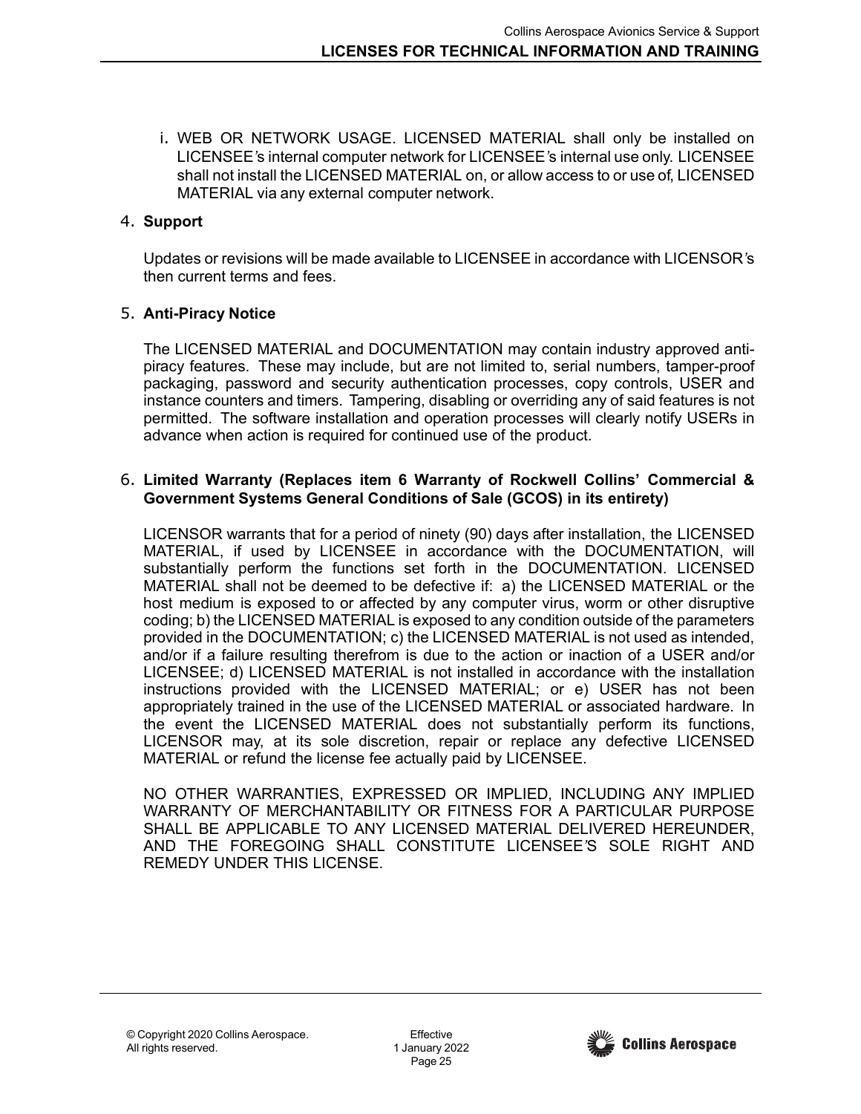i. WEB OR NETWORK USAGE. LICENSED MATERIAL shall only be installed on LICENSEE*'*s internal computer network for LICENSEE*'*s internal use only. LICENSEE shall not install the LICENSED MATERIAL on, or allow access to or use of, LICENSED MATERIAL via any external computer network.

## 4. **Support**

Updates or revisions will be made available to LICENSEE in accordance with LICENSOR*'*s then current terms and fees.

## 5. **Anti-Piracy Notice**

The LICENSED MATERIAL and DOCUMENTATION may contain industry approved antipiracy features. These may include, but are not limited to, serial numbers, tamper-proof packaging, password and security authentication processes, copy controls, USER and instance counters and timers. Tampering, disabling or overriding any of said features is not permitted. The software installation and operation processes will clearly notify USERs in advance when action is required for continued use of the product.

### 6. **Limited Warranty (Replaces item 6 Warranty of Rockwell Collins' Commercial & Government Systems General Conditions of Sale (GCOS) in its entirety)**

LICENSOR warrants that for a period of ninety (90) days after installation, the LICENSED MATERIAL, if used by LICENSEE in accordance with the DOCUMENTATION, will substantially perform the functions set forth in the DOCUMENTATION. LICENSED MATERIAL shall not be deemed to be defective if: a) the LICENSED MATERIAL or the host medium is exposed to or affected by any computer virus, worm or other disruptive coding; b) the LICENSED MATERIAL is exposed to any condition outside of the parameters provided in the DOCUMENTATION; c) the LICENSED MATERIAL is not used as intended, and/or if a failure resulting therefrom is due to the action or inaction of a USER and/or LICENSEE; d) LICENSED MATERIAL is not installed in accordance with the installation instructions provided with the LICENSED MATERIAL; or e) USER has not been appropriately trained in the use of the LICENSED MATERIAL or associated hardware. In the event the LICENSED MATERIAL does not substantially perform its functions, LICENSOR may, at its sole discretion, repair or replace any defective LICENSED MATERIAL or refund the license fee actually paid by LICENSEE.

NO OTHER WARRANTIES, EXPRESSED OR IMPLIED, INCLUDING ANY IMPLIED WARRANTY OF MERCHANTABILITY OR FITNESS FOR A PARTICULAR PURPOSE SHALL BE APPLICABLE TO ANY LICENSED MATERIAL DELIVERED HEREUNDER, AND THE FOREGOING SHALL CONSTITUTE LICENSEE*'*S SOLE RIGHT AND REMEDY UNDER THIS LICENSE.

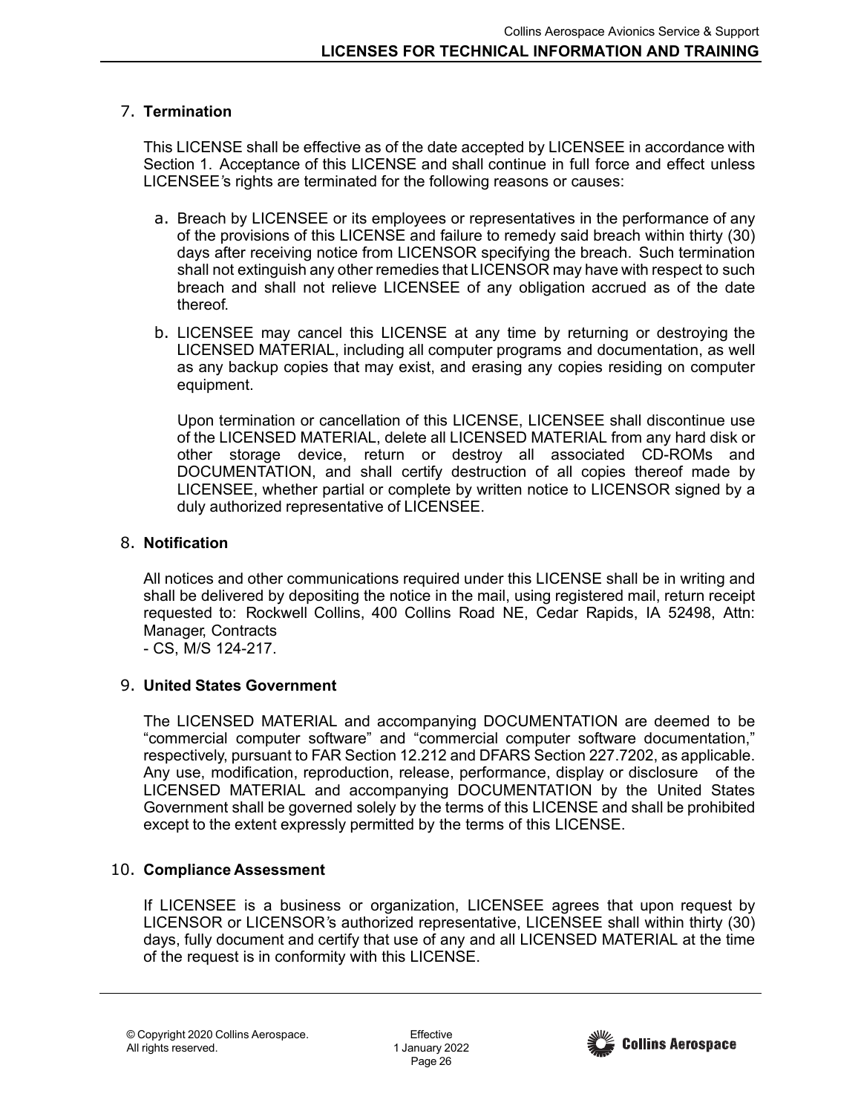## 7. **Termination**

This LICENSE shall be effective as of the date accepted by LICENSEE in accordance with Section 1. Acceptance of this LICENSE and shall continue in full force and effect unless LICENSEE*'*s rights are terminated for the following reasons or causes:

- a. Breach by LICENSEE or its employees or representatives in the performance of any of the provisions of this LICENSE and failure to remedy said breach within thirty (30) days after receiving notice from LICENSOR specifying the breach. Such termination shall not extinguish any other remedies that LICENSOR may have with respect to such breach and shall not relieve LICENSEE of any obligation accrued as of the date thereof.
- b. LICENSEE may cancel this LICENSE at any time by returning or destroying the LICENSED MATERIAL, including all computer programs and documentation, as well as any backup copies that may exist, and erasing any copies residing on computer equipment.

Upon termination or cancellation of this LICENSE, LICENSEE shall discontinue use of the LICENSED MATERIAL, delete all LICENSED MATERIAL from any hard disk or other storage device, return or destroy all associated CD-ROMs and DOCUMENTATION, and shall certify destruction of all copies thereof made by LICENSEE, whether partial or complete by written notice to LICENSOR signed by a duly authorized representative of LICENSEE.

## 8. **Notification**

All notices and other communications required under this LICENSE shall be in writing and shall be delivered by depositing the notice in the mail, using registered mail, return receipt requested to: Rockwell Collins, 400 Collins Road NE, Cedar Rapids, IA 52498, Attn: Manager, Contracts

- CS, M/S 124-217.

# 9. **United States Government**

The LICENSED MATERIAL and accompanying DOCUMENTATION are deemed to be "commercial computer software" and "commercial computer software documentation," respectively, pursuant to FAR Section 12.212 and DFARS Section 227.7202, as applicable. Any use, modification, reproduction, release, performance, display or disclosure of the LICENSED MATERIAL and accompanying DOCUMENTATION by the United States Government shall be governed solely by the terms of this LICENSE and shall be prohibited except to the extent expressly permitted by the terms of this LICENSE.

# 10. **Compliance Assessment**

If LICENSEE is a business or organization, LICENSEE agrees that upon request by LICENSOR or LICENSOR*'*s authorized representative, LICENSEE shall within thirty (30) days, fully document and certify that use of any and all LICENSED MATERIAL at the time of the request is in conformity with this LICENSE.

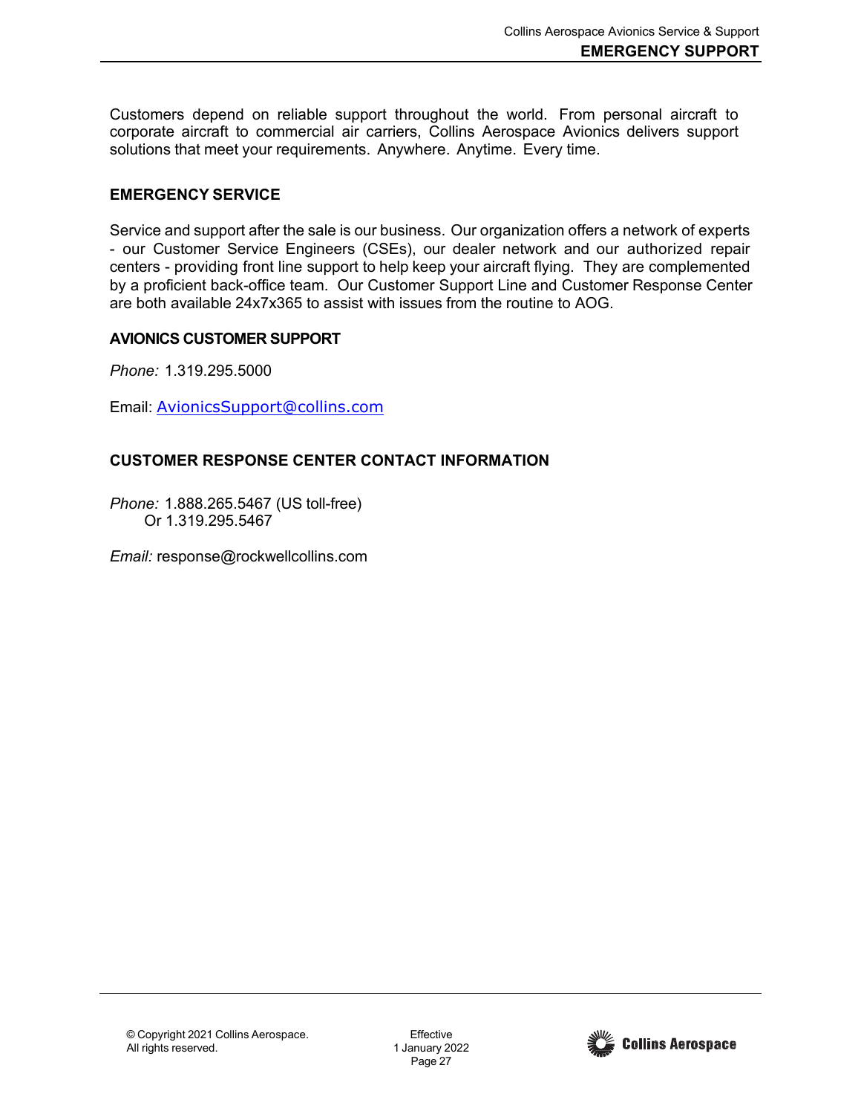Customers depend on reliable support throughout the world. From personal aircraft to corporate aircraft to commercial air carriers, Collins Aerospace Avionics delivers support solutions that meet your requirements. Anywhere. Anytime. Every time.

### <span id="page-26-0"></span>**EMERGENCY SERVICE**

Service and support after the sale is our business. Our organization offers a network of experts - our Customer Service Engineers (CSEs), our dealer network and our authorized repair centers - providing front line support to help keep your aircraft flying. They are complemented by a proficient back-office team. Our Customer Support Line and Customer Response Center are both available 24x7x365 to assist with issues from the routine to AOG.

### **AVIONICS CUSTOMER SUPPORT**

*Phone:* 1.319.295.5000

Email: [AvionicsSupport@collins.com](mailto:AvionicsSupport@collins.com)

### **CUSTOMER RESPONSE CENTER CONTACT INFORMATION**

*Phone:* 1.888.265.5467 (US toll-free) Or 1.319.295.5467

*Email:* [response@rockwellcollins.com](mailto:response@rockwellcollins.com)